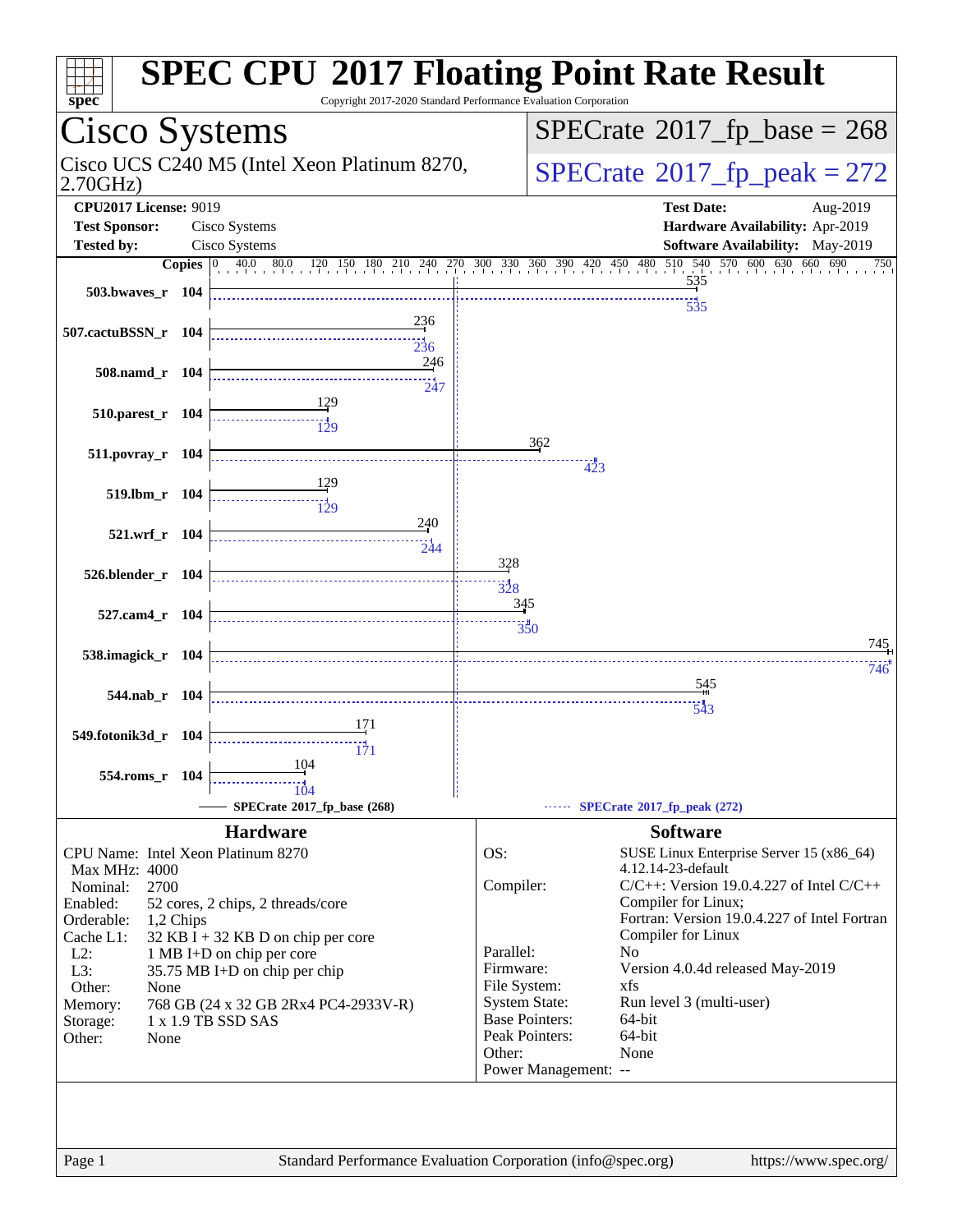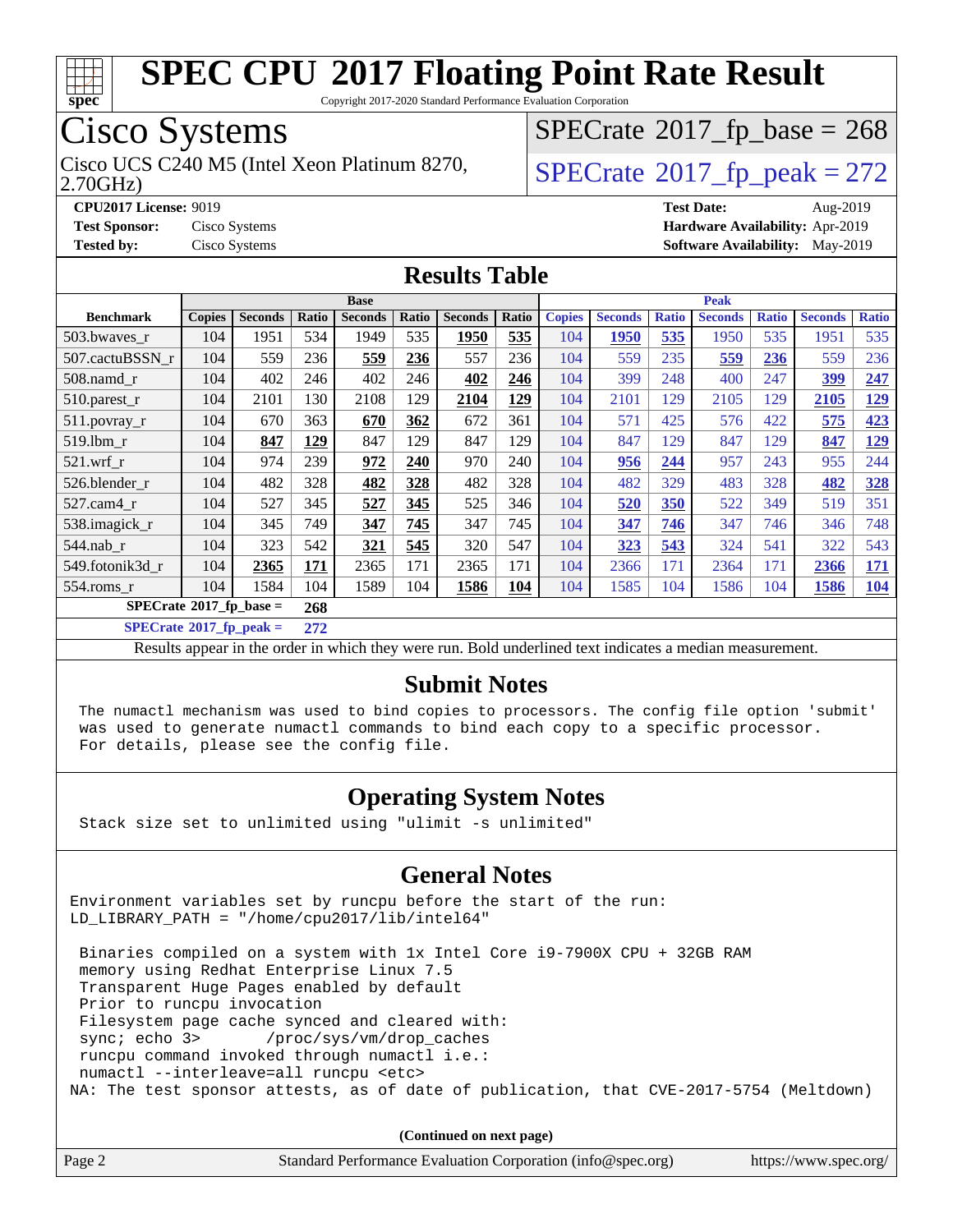

Copyright 2017-2020 Standard Performance Evaluation Corporation

### Cisco Systems

Cisco UCS C240 M5 (Intel Xeon Platinum 8270,  $\vert$ [SPECrate](http://www.spec.org/auto/cpu2017/Docs/result-fields.html#SPECrate2017fppeak)®[2017\\_fp\\_peak = 2](http://www.spec.org/auto/cpu2017/Docs/result-fields.html#SPECrate2017fppeak)72

 $SPECTate$ <sup>®</sup>[2017\\_fp\\_base =](http://www.spec.org/auto/cpu2017/Docs/result-fields.html#SPECrate2017fpbase) 268

2.70GHz)

**[CPU2017 License:](http://www.spec.org/auto/cpu2017/Docs/result-fields.html#CPU2017License)** 9019 **[Test Date:](http://www.spec.org/auto/cpu2017/Docs/result-fields.html#TestDate)** Aug-2019

**[Test Sponsor:](http://www.spec.org/auto/cpu2017/Docs/result-fields.html#TestSponsor)** Cisco Systems **[Hardware Availability:](http://www.spec.org/auto/cpu2017/Docs/result-fields.html#HardwareAvailability)** Apr-2019 **[Tested by:](http://www.spec.org/auto/cpu2017/Docs/result-fields.html#Testedby)** Cisco Systems **[Software Availability:](http://www.spec.org/auto/cpu2017/Docs/result-fields.html#SoftwareAvailability)** May-2019

### **[Results Table](http://www.spec.org/auto/cpu2017/Docs/result-fields.html#ResultsTable)**

|                                         | <b>Base</b>   |                |       |                | <b>Peak</b> |                |            |               |                |              |                |              |                |              |
|-----------------------------------------|---------------|----------------|-------|----------------|-------------|----------------|------------|---------------|----------------|--------------|----------------|--------------|----------------|--------------|
| <b>Benchmark</b>                        | <b>Copies</b> | <b>Seconds</b> | Ratio | <b>Seconds</b> | Ratio       | <b>Seconds</b> | Ratio      | <b>Copies</b> | <b>Seconds</b> | <b>Ratio</b> | <b>Seconds</b> | <b>Ratio</b> | <b>Seconds</b> | <b>Ratio</b> |
| 503.bwayes_r                            | 104           | 1951           | 534   | 1949           | 535         | 1950           | 535        | 104           | 1950           | 535          | 1950           | 535          | 1951           | 535          |
| 507.cactuBSSN r                         | 104           | 559            | 236   | 559            | 236         | 557            | 236        | 104           | 559            | 235          | 559            | 236          | 559            | 236          |
| $508$ .namd $r$                         | 104           | 402            | 246   | 402            | 246         | 402            | 246        | 104           | 399            | 248          | 400            | 247          | 399            | 247          |
| 510.parest_r                            | 104           | 2101           | 130   | 2108           | 129         | 2104           | <u>129</u> | 104           | 2101           | 129          | 2105           | 129          | 2105           | <u>129</u>   |
| 511.povray_r                            | 104           | 670            | 363   | 670            | 362         | 672            | 361        | 104           | 571            | 425          | 576            | 422          | 575            | 423          |
| 519.1bm r                               | 104           | 847            | 129   | 847            | 129         | 847            | 129        | 104           | 847            | 129          | 847            | 129          | 847            | 129          |
| $521$ .wrf r                            | 104           | 974            | 239   | 972            | 240         | 970            | 240        | 104           | 956            | 244          | 957            | 243          | 955            | 244          |
| 526.blender r                           | 104           | 482            | 328   | 482            | 328         | 482            | 328        | 104           | 482            | 329          | 483            | 328          | 482            | 328          |
| 527.cam4 r                              | 104           | 527            | 345   | 527            | 345         | 525            | 346        | 104           | 520            | 350          | 522            | 349          | 519            | 351          |
| 538.imagick_r                           | 104           | 345            | 749   | 347            | 745         | 347            | 745        | 104           | 347            | 746          | 347            | 746          | 346            | 748          |
| $544$ .nab r                            | 104           | 323            | 542   | 321            | 545         | 320            | 547        | 104           | 323            | 543          | 324            | 541          | 322            | 543          |
| 549.fotonik3d r                         | 104           | 2365           | 171   | 2365           | 171         | 2365           | 171        | 104           | 2366           | 171          | 2364           | 171          | 2366           | 171          |
| $554$ .roms $r$                         | 104           | 1584           | 104   | 1589           | 104         | 1586           | 104        | 104           | 1585           | 104          | 1586           | 104          | 1586           | <b>104</b>   |
| $SPECrate^{\circ}2017$ fp base =<br>268 |               |                |       |                |             |                |            |               |                |              |                |              |                |              |

**[SPECrate](http://www.spec.org/auto/cpu2017/Docs/result-fields.html#SPECrate2017fppeak)[2017\\_fp\\_peak =](http://www.spec.org/auto/cpu2017/Docs/result-fields.html#SPECrate2017fppeak) 272**

Results appear in the [order in which they were run](http://www.spec.org/auto/cpu2017/Docs/result-fields.html#RunOrder). Bold underlined text [indicates a median measurement](http://www.spec.org/auto/cpu2017/Docs/result-fields.html#Median).

### **[Submit Notes](http://www.spec.org/auto/cpu2017/Docs/result-fields.html#SubmitNotes)**

 The numactl mechanism was used to bind copies to processors. The config file option 'submit' was used to generate numactl commands to bind each copy to a specific processor. For details, please see the config file.

### **[Operating System Notes](http://www.spec.org/auto/cpu2017/Docs/result-fields.html#OperatingSystemNotes)**

Stack size set to unlimited using "ulimit -s unlimited"

#### **[General Notes](http://www.spec.org/auto/cpu2017/Docs/result-fields.html#GeneralNotes)**

Environment variables set by runcpu before the start of the run: LD\_LIBRARY\_PATH = "/home/cpu2017/lib/intel64"

 Binaries compiled on a system with 1x Intel Core i9-7900X CPU + 32GB RAM memory using Redhat Enterprise Linux 7.5 Transparent Huge Pages enabled by default Prior to runcpu invocation Filesystem page cache synced and cleared with: sync; echo 3> /proc/sys/vm/drop\_caches runcpu command invoked through numactl i.e.: numactl --interleave=all runcpu <etc> NA: The test sponsor attests, as of date of publication, that CVE-2017-5754 (Meltdown)

**(Continued on next page)**

| Page 2 | Standard Performance Evaluation Corporation (info@spec.org) | https://www.spec.org/ |
|--------|-------------------------------------------------------------|-----------------------|
|--------|-------------------------------------------------------------|-----------------------|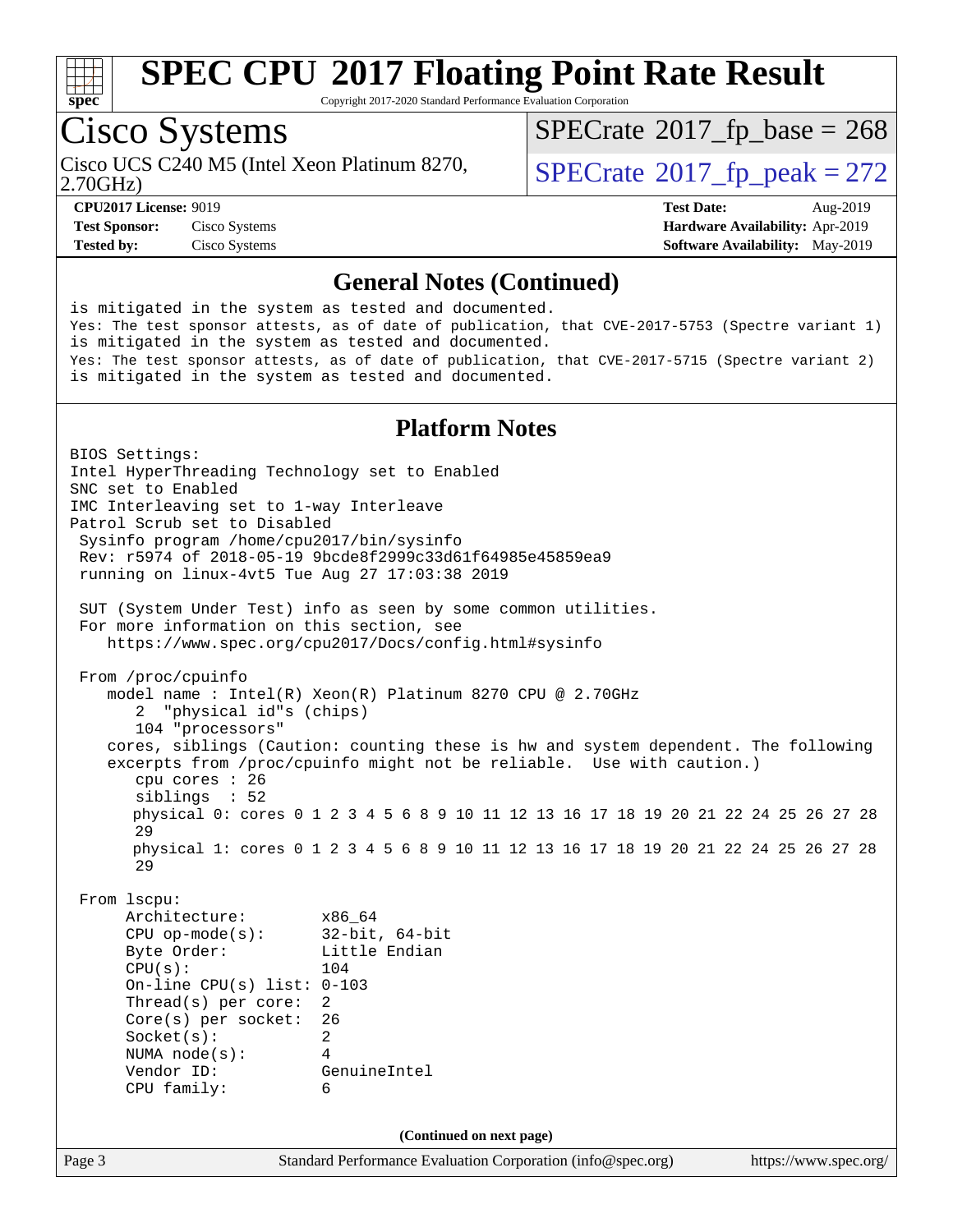

Copyright 2017-2020 Standard Performance Evaluation Corporation

## Cisco Systems

Cisco UCS C240 M5 (Intel Xeon Platinum 8270,<br>2.70GHz)

 $SPECTate$ <sup>®</sup>[2017\\_fp\\_base =](http://www.spec.org/auto/cpu2017/Docs/result-fields.html#SPECrate2017fpbase) 268

 $SPECTate<sup>®</sup>2017_fp_peak = 272$  $SPECTate<sup>®</sup>2017_fp_peak = 272$  $SPECTate<sup>®</sup>2017_fp_peak = 272$ 

**[Test Sponsor:](http://www.spec.org/auto/cpu2017/Docs/result-fields.html#TestSponsor)** Cisco Systems **[Hardware Availability:](http://www.spec.org/auto/cpu2017/Docs/result-fields.html#HardwareAvailability)** Apr-2019 **[Tested by:](http://www.spec.org/auto/cpu2017/Docs/result-fields.html#Testedby)** Cisco Systems **[Software Availability:](http://www.spec.org/auto/cpu2017/Docs/result-fields.html#SoftwareAvailability)** May-2019

**[CPU2017 License:](http://www.spec.org/auto/cpu2017/Docs/result-fields.html#CPU2017License)** 9019 **[Test Date:](http://www.spec.org/auto/cpu2017/Docs/result-fields.html#TestDate)** Aug-2019

#### **[General Notes \(Continued\)](http://www.spec.org/auto/cpu2017/Docs/result-fields.html#GeneralNotes)**

is mitigated in the system as tested and documented. Yes: The test sponsor attests, as of date of publication, that CVE-2017-5753 (Spectre variant 1) is mitigated in the system as tested and documented. Yes: The test sponsor attests, as of date of publication, that CVE-2017-5715 (Spectre variant 2) is mitigated in the system as tested and documented.

### **[Platform Notes](http://www.spec.org/auto/cpu2017/Docs/result-fields.html#PlatformNotes)**

Page 3 Standard Performance Evaluation Corporation [\(info@spec.org\)](mailto:info@spec.org) <https://www.spec.org/> BIOS Settings: Intel HyperThreading Technology set to Enabled SNC set to Enabled IMC Interleaving set to 1-way Interleave Patrol Scrub set to Disabled Sysinfo program /home/cpu2017/bin/sysinfo Rev: r5974 of 2018-05-19 9bcde8f2999c33d61f64985e45859ea9 running on linux-4vt5 Tue Aug 27 17:03:38 2019 SUT (System Under Test) info as seen by some common utilities. For more information on this section, see <https://www.spec.org/cpu2017/Docs/config.html#sysinfo> From /proc/cpuinfo model name : Intel(R) Xeon(R) Platinum 8270 CPU @ 2.70GHz 2 "physical id"s (chips) 104 "processors" cores, siblings (Caution: counting these is hw and system dependent. The following excerpts from /proc/cpuinfo might not be reliable. Use with caution.) cpu cores : 26 siblings : 52 physical 0: cores 0 1 2 3 4 5 6 8 9 10 11 12 13 16 17 18 19 20 21 22 24 25 26 27 28 29 physical 1: cores 0 1 2 3 4 5 6 8 9 10 11 12 13 16 17 18 19 20 21 22 24 25 26 27 28 29 From lscpu: Architecture: x86\_64 CPU op-mode(s): 32-bit, 64-bit Byte Order: Little Endian CPU(s): 104 On-line CPU(s) list: 0-103 Thread(s) per core: 2 Core(s) per socket: 26 Socket(s): 2 NUMA node(s): 4 Vendor ID: GenuineIntel CPU family: 6 **(Continued on next page)**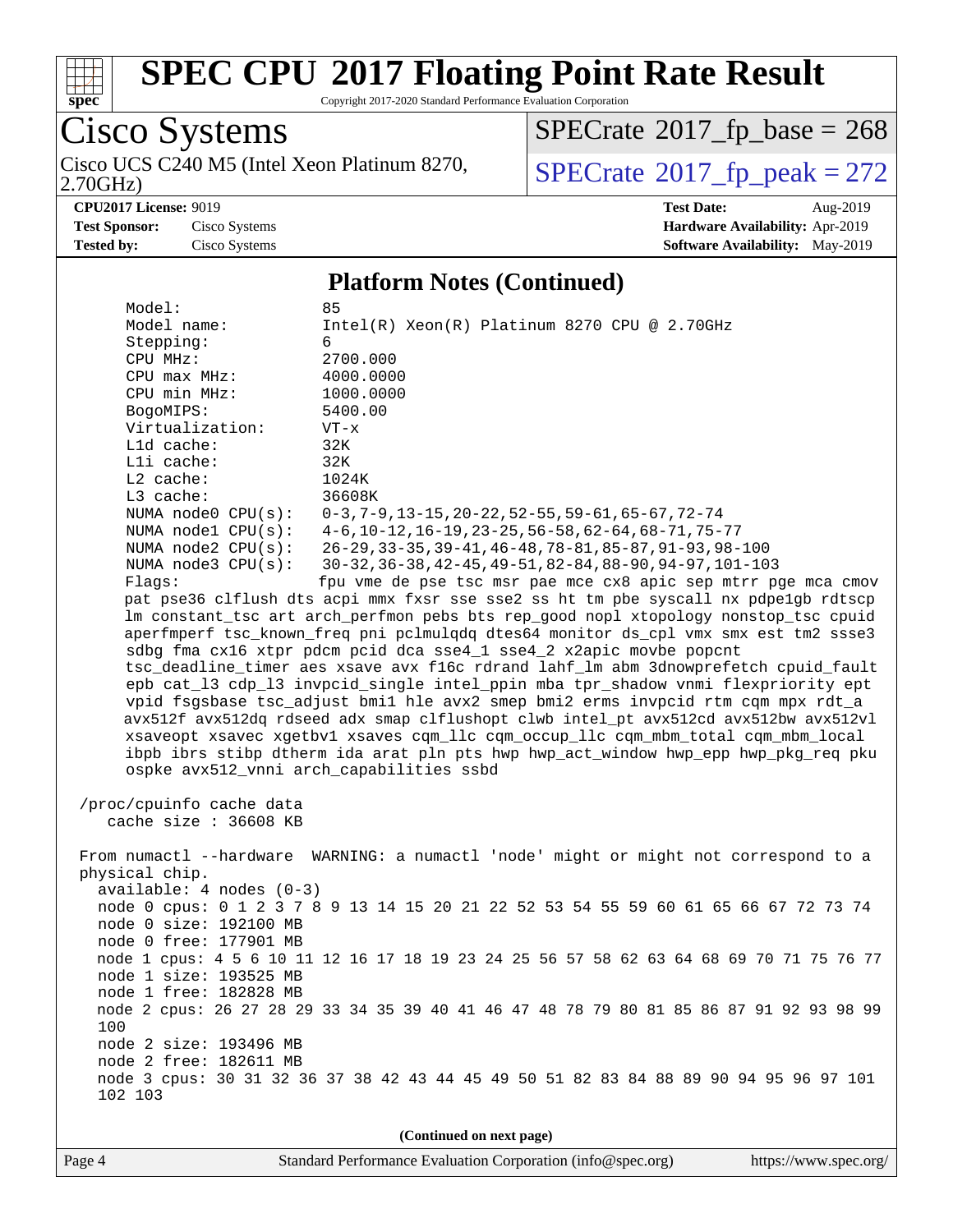

Copyright 2017-2020 Standard Performance Evaluation Corporation

Cisco Systems 2.70GHz) Cisco UCS C240 M5 (Intel Xeon Platinum 8270,  $SPECrate@2017_fp\_peak = 272$  $SPECrate@2017_fp\_peak = 272$ 

 $SPECTate$ <sup>®</sup>[2017\\_fp\\_base =](http://www.spec.org/auto/cpu2017/Docs/result-fields.html#SPECrate2017fpbase) 268

**[Test Sponsor:](http://www.spec.org/auto/cpu2017/Docs/result-fields.html#TestSponsor)** Cisco Systems **[Hardware Availability:](http://www.spec.org/auto/cpu2017/Docs/result-fields.html#HardwareAvailability)** Apr-2019 **[Tested by:](http://www.spec.org/auto/cpu2017/Docs/result-fields.html#Testedby)** Cisco Systems **[Software Availability:](http://www.spec.org/auto/cpu2017/Docs/result-fields.html#SoftwareAvailability)** May-2019

**[CPU2017 License:](http://www.spec.org/auto/cpu2017/Docs/result-fields.html#CPU2017License)** 9019 **[Test Date:](http://www.spec.org/auto/cpu2017/Docs/result-fields.html#TestDate)** Aug-2019

#### **[Platform Notes \(Continued\)](http://www.spec.org/auto/cpu2017/Docs/result-fields.html#PlatformNotes)**

| Model:                                                                             | 85                                                                                                                                                   |  |  |  |  |  |
|------------------------------------------------------------------------------------|------------------------------------------------------------------------------------------------------------------------------------------------------|--|--|--|--|--|
| Model name:                                                                        | $Intel(R)$ Xeon $(R)$ Platinum 8270 CPU @ 2.70GHz                                                                                                    |  |  |  |  |  |
| Stepping:                                                                          | 6                                                                                                                                                    |  |  |  |  |  |
| CPU MHz:                                                                           | 2700.000                                                                                                                                             |  |  |  |  |  |
| CPU max MHz:                                                                       | 4000.0000                                                                                                                                            |  |  |  |  |  |
| CPU min MHz:                                                                       | 1000.0000                                                                                                                                            |  |  |  |  |  |
| BogoMIPS:                                                                          | 5400.00                                                                                                                                              |  |  |  |  |  |
| Virtualization:                                                                    | $VT - x$                                                                                                                                             |  |  |  |  |  |
| L1d cache:                                                                         | 32K                                                                                                                                                  |  |  |  |  |  |
| Lli cache:                                                                         | 32K                                                                                                                                                  |  |  |  |  |  |
| $L2$ cache:                                                                        | 1024K                                                                                                                                                |  |  |  |  |  |
| L3 cache:                                                                          | 36608K                                                                                                                                               |  |  |  |  |  |
| NUMA node0 CPU(s):                                                                 | $0-3, 7-9, 13-15, 20-22, 52-55, 59-61, 65-67, 72-74$                                                                                                 |  |  |  |  |  |
| NUMA nodel CPU(s):                                                                 | $4-6$ , 10-12, 16-19, 23-25, 56-58, 62-64, 68-71, 75-77                                                                                              |  |  |  |  |  |
| NUMA $node2$ $CPU(s):$                                                             | $26 - 29, 33 - 35, 39 - 41, 46 - 48, 78 - 81, 85 - 87, 91 - 93, 98 - 100$                                                                            |  |  |  |  |  |
| NUMA $node3$ CPU $(s)$ :                                                           | 30-32, 36-38, 42-45, 49-51, 82-84, 88-90, 94-97, 101-103                                                                                             |  |  |  |  |  |
| Flags:                                                                             | fpu vme de pse tsc msr pae mce cx8 apic sep mtrr pge mca cmov<br>pat pse36 clflush dts acpi mmx fxsr sse sse2 ss ht tm pbe syscall nx pdpelgb rdtscp |  |  |  |  |  |
|                                                                                    | lm constant_tsc art arch_perfmon pebs bts rep_good nopl xtopology nonstop_tsc cpuid                                                                  |  |  |  |  |  |
|                                                                                    | aperfmperf tsc known freq pni pclmulqdq dtes64 monitor ds cpl vmx smx est tm2 ssse3                                                                  |  |  |  |  |  |
|                                                                                    | sdbg fma cx16 xtpr pdcm pcid dca sse4_1 sse4_2 x2apic movbe popcnt                                                                                   |  |  |  |  |  |
|                                                                                    | tsc_deadline_timer aes xsave avx f16c rdrand lahf_lm abm 3dnowprefetch cpuid_fault                                                                   |  |  |  |  |  |
|                                                                                    | epb cat_13 cdp_13 invpcid_single intel_ppin mba tpr_shadow vnmi flexpriority ept                                                                     |  |  |  |  |  |
|                                                                                    | vpid fsgsbase tsc_adjust bmil hle avx2 smep bmi2 erms invpcid rtm cqm mpx rdt_a                                                                      |  |  |  |  |  |
|                                                                                    | avx512f avx512dq rdseed adx smap clflushopt clwb intel_pt avx512cd avx512bw avx512vl                                                                 |  |  |  |  |  |
| xsaveopt xsavec xgetbvl xsaves cqm_llc cqm_occup_llc cqm_mbm_total cqm_mbm_local   |                                                                                                                                                      |  |  |  |  |  |
| ibpb ibrs stibp dtherm ida arat pln pts hwp hwp_act_window hwp_epp hwp_pkg_req pku |                                                                                                                                                      |  |  |  |  |  |
|                                                                                    | ospke avx512_vnni arch_capabilities ssbd                                                                                                             |  |  |  |  |  |
|                                                                                    |                                                                                                                                                      |  |  |  |  |  |
| /proc/cpuinfo cache data                                                           |                                                                                                                                                      |  |  |  |  |  |
| cache size : 36608 KB                                                              |                                                                                                                                                      |  |  |  |  |  |
|                                                                                    |                                                                                                                                                      |  |  |  |  |  |
|                                                                                    | From numactl --hardware WARNING: a numactl 'node' might or might not correspond to a                                                                 |  |  |  |  |  |
| physical chip.                                                                     |                                                                                                                                                      |  |  |  |  |  |
| $available: 4 nodes (0-3)$                                                         |                                                                                                                                                      |  |  |  |  |  |
|                                                                                    | node 0 cpus: 0 1 2 3 7 8 9 13 14 15 20 21 22 52 53 54 55 59 60 61 65 66 67 72 73 74                                                                  |  |  |  |  |  |
| node 0 size: 192100 MB                                                             |                                                                                                                                                      |  |  |  |  |  |
| node 0 free: 177901 MB                                                             |                                                                                                                                                      |  |  |  |  |  |
|                                                                                    | node 1 cpus: 4 5 6 10 11 12 16 17 18 19 23 24 25 56 57 58 62 63 64 68 69 70 71 75 76 77                                                              |  |  |  |  |  |
| node 1 size: 193525 MB                                                             |                                                                                                                                                      |  |  |  |  |  |
| node 1 free: 182828 MB                                                             |                                                                                                                                                      |  |  |  |  |  |
|                                                                                    | node 2 cpus: 26 27 28 29 33 34 35 39 40 41 46 47 48 78 79 80 81 85 86 87 91 92 93 98 99                                                              |  |  |  |  |  |
| 100                                                                                |                                                                                                                                                      |  |  |  |  |  |
| node 2 size: 193496 MB                                                             |                                                                                                                                                      |  |  |  |  |  |
| node 2 free: 182611 MB                                                             |                                                                                                                                                      |  |  |  |  |  |
|                                                                                    | node 3 cpus: 30 31 32 36 37 38 42 43 44 45 49 50 51 82 83 84 88 89 90 94 95 96 97 101                                                                |  |  |  |  |  |
| 102 103                                                                            |                                                                                                                                                      |  |  |  |  |  |
|                                                                                    |                                                                                                                                                      |  |  |  |  |  |
| (Continued on next page)                                                           |                                                                                                                                                      |  |  |  |  |  |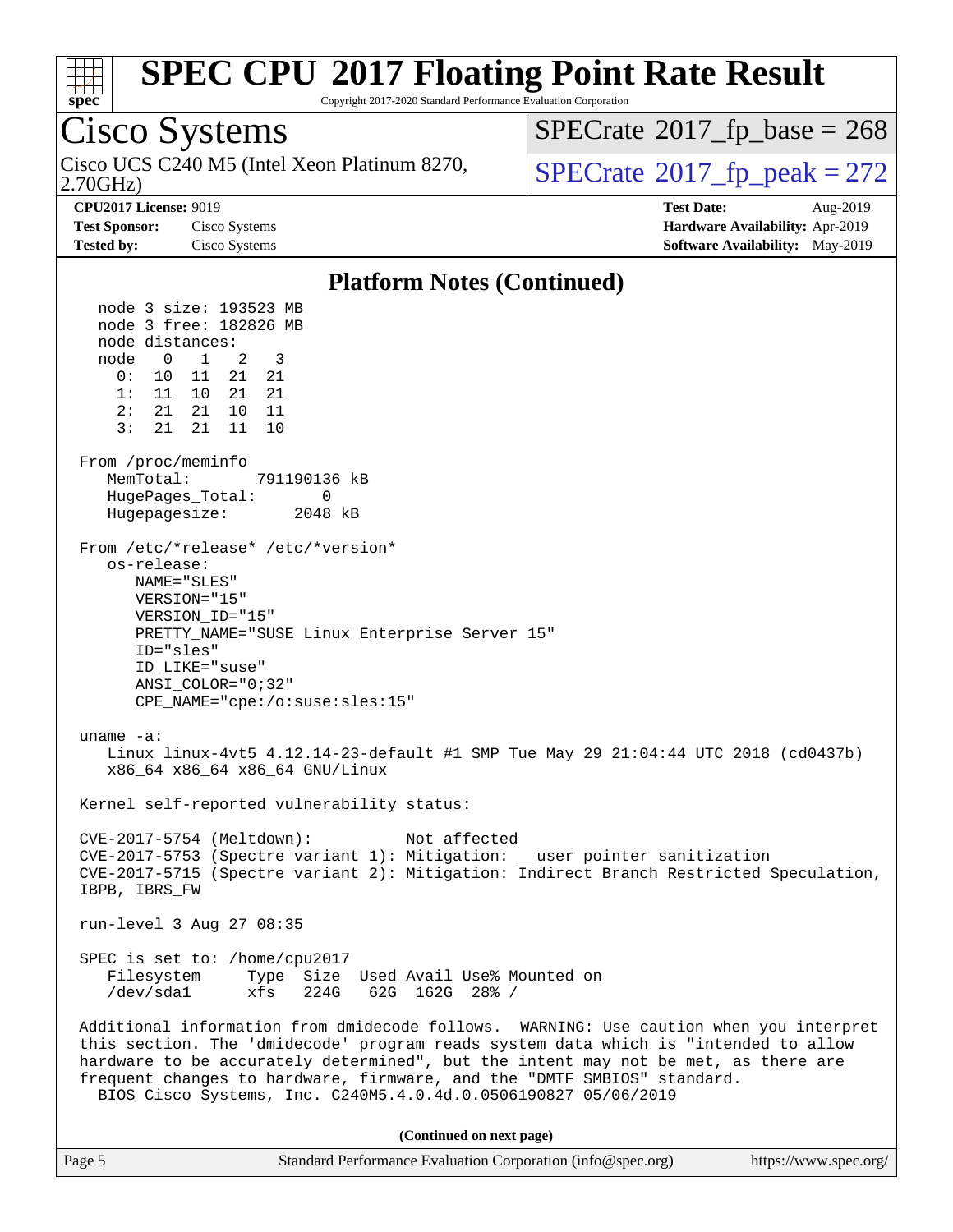

#### Copyright 2017-2020 Standard Performance Evaluation Corporation Cisco Systems 2.70GHz) Cisco UCS C240 M5 (Intel Xeon Platinum 8270,  $\vert$ [SPECrate](http://www.spec.org/auto/cpu2017/Docs/result-fields.html#SPECrate2017fppeak)®[2017\\_fp\\_peak = 2](http://www.spec.org/auto/cpu2017/Docs/result-fields.html#SPECrate2017fppeak)72  $SPECrate$ <sup>®</sup>[2017\\_fp\\_base =](http://www.spec.org/auto/cpu2017/Docs/result-fields.html#SPECrate2017fpbase) 268 **[CPU2017 License:](http://www.spec.org/auto/cpu2017/Docs/result-fields.html#CPU2017License)** 9019 **[Test Date:](http://www.spec.org/auto/cpu2017/Docs/result-fields.html#TestDate)** Aug-2019 **[Test Sponsor:](http://www.spec.org/auto/cpu2017/Docs/result-fields.html#TestSponsor)** Cisco Systems **[Hardware Availability:](http://www.spec.org/auto/cpu2017/Docs/result-fields.html#HardwareAvailability)** Apr-2019 **[Tested by:](http://www.spec.org/auto/cpu2017/Docs/result-fields.html#Testedby)** Cisco Systems **[Software Availability:](http://www.spec.org/auto/cpu2017/Docs/result-fields.html#SoftwareAvailability)** May-2019 **[Platform Notes \(Continued\)](http://www.spec.org/auto/cpu2017/Docs/result-fields.html#PlatformNotes)** node 3 size: 193523 MB node 3 free: 182826 MB node distances: node 0 1 2 3 0: 10 11 21 21 1: 11 10 21 21 2: 21 21 10 11 3: 21 21 11 10 From /proc/meminfo MemTotal: 791190136 kB HugePages Total: 0 Hugepagesize: 2048 kB From /etc/\*release\* /etc/\*version\* os-release: NAME="SLES" VERSION="15" VERSION\_ID="15" PRETTY\_NAME="SUSE Linux Enterprise Server 15" ID="sles" ID\_LIKE="suse" ANSI\_COLOR="0;32" CPE\_NAME="cpe:/o:suse:sles:15" uname -a: Linux linux-4vt5 4.12.14-23-default #1 SMP Tue May 29 21:04:44 UTC 2018 (cd0437b) x86\_64 x86\_64 x86\_64 GNU/Linux Kernel self-reported vulnerability status: CVE-2017-5754 (Meltdown): Not affected CVE-2017-5753 (Spectre variant 1): Mitigation: \_\_user pointer sanitization CVE-2017-5715 (Spectre variant 2): Mitigation: Indirect Branch Restricted Speculation, IBPB, IBRS\_FW run-level 3 Aug 27 08:35 SPEC is set to: /home/cpu2017 Filesystem Type Size Used Avail Use% Mounted on /dev/sda1 xfs 224G 62G 162G 28% /

 Additional information from dmidecode follows. WARNING: Use caution when you interpret this section. The 'dmidecode' program reads system data which is "intended to allow hardware to be accurately determined", but the intent may not be met, as there are frequent changes to hardware, firmware, and the "DMTF SMBIOS" standard. BIOS Cisco Systems, Inc. C240M5.4.0.4d.0.0506190827 05/06/2019

**(Continued on next page)**

| Page 5 | Standard Performance Evaluation Corporation (info@spec.org) | https://www.spec.org/ |
|--------|-------------------------------------------------------------|-----------------------|
|--------|-------------------------------------------------------------|-----------------------|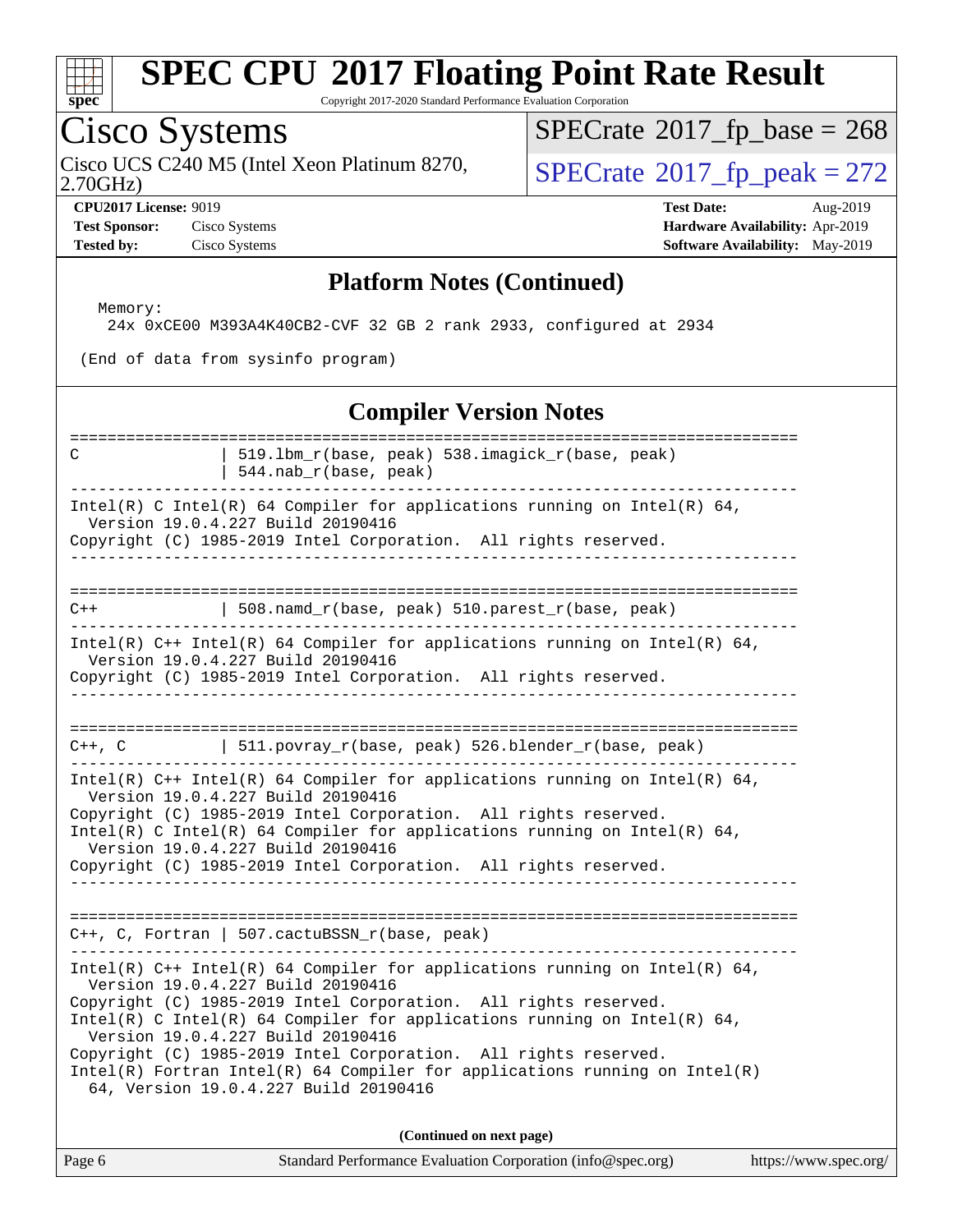

Copyright 2017-2020 Standard Performance Evaluation Corporation

### Cisco Systems

2.70GHz) Cisco UCS C240 M5 (Intel Xeon Platinum 8270,  $SPECrate@2017_fp\_peak = 272$  $SPECrate@2017_fp\_peak = 272$ 

 $SPECTate$ <sup>®</sup>[2017\\_fp\\_base =](http://www.spec.org/auto/cpu2017/Docs/result-fields.html#SPECrate2017fpbase) 268

**[Test Sponsor:](http://www.spec.org/auto/cpu2017/Docs/result-fields.html#TestSponsor)** Cisco Systems **[Hardware Availability:](http://www.spec.org/auto/cpu2017/Docs/result-fields.html#HardwareAvailability)** Apr-2019

**[CPU2017 License:](http://www.spec.org/auto/cpu2017/Docs/result-fields.html#CPU2017License)** 9019 **[Test Date:](http://www.spec.org/auto/cpu2017/Docs/result-fields.html#TestDate)** Aug-2019 **[Tested by:](http://www.spec.org/auto/cpu2017/Docs/result-fields.html#Testedby)** Cisco Systems **[Software Availability:](http://www.spec.org/auto/cpu2017/Docs/result-fields.html#SoftwareAvailability)** May-2019

#### **[Platform Notes \(Continued\)](http://www.spec.org/auto/cpu2017/Docs/result-fields.html#PlatformNotes)**

Memory:

24x 0xCE00 M393A4K40CB2-CVF 32 GB 2 rank 2933, configured at 2934

(End of data from sysinfo program)

#### **[Compiler Version Notes](http://www.spec.org/auto/cpu2017/Docs/result-fields.html#CompilerVersionNotes)**

| C     | 519.1bm_r(base, peak) 538.imagick_r(base, peak)<br>544.nab_r(base, peak)                                                                                                                                                                                                                              |
|-------|-------------------------------------------------------------------------------------------------------------------------------------------------------------------------------------------------------------------------------------------------------------------------------------------------------|
|       | Intel(R) C Intel(R) 64 Compiler for applications running on Intel(R) 64,<br>Version 19.0.4.227 Build 20190416<br>Copyright (C) 1985-2019 Intel Corporation. All rights reserved.                                                                                                                      |
|       |                                                                                                                                                                                                                                                                                                       |
| $C++$ | 508.namd_r(base, peak) 510.parest_r(base, peak)                                                                                                                                                                                                                                                       |
|       | -------------------------------                                                                                                                                                                                                                                                                       |
|       | Intel(R) $C++$ Intel(R) 64 Compiler for applications running on Intel(R) 64,<br>Version 19.0.4.227 Build 20190416<br>Copyright (C) 1985-2019 Intel Corporation. All rights reserved.                                                                                                                  |
|       |                                                                                                                                                                                                                                                                                                       |
|       |                                                                                                                                                                                                                                                                                                       |
|       | C++, C $ $ 511.povray_r(base, peak) 526.blender_r(base, peak)                                                                                                                                                                                                                                         |
|       | Intel(R) $C++$ Intel(R) 64 Compiler for applications running on Intel(R) 64,<br>Version 19.0.4.227 Build 20190416<br>Copyright (C) 1985-2019 Intel Corporation. All rights reserved.<br>Intel(R) C Intel(R) 64 Compiler for applications running on Intel(R) 64,<br>Version 19.0.4.227 Build 20190416 |
|       | Copyright (C) 1985-2019 Intel Corporation. All rights reserved.                                                                                                                                                                                                                                       |
|       |                                                                                                                                                                                                                                                                                                       |
|       | $C++$ , C, Fortran   507.cactuBSSN_r(base, peak)<br>__________________________________<br>--------------------------------                                                                                                                                                                            |
|       | Intel(R) $C++$ Intel(R) 64 Compiler for applications running on Intel(R) 64,<br>Version 19.0.4.227 Build 20190416                                                                                                                                                                                     |
|       | Copyright (C) 1985-2019 Intel Corporation. All rights reserved.<br>Intel(R) C Intel(R) 64 Compiler for applications running on Intel(R) 64,<br>Version 19.0.4.227 Build 20190416                                                                                                                      |
|       | Copyright (C) 1985-2019 Intel Corporation. All rights reserved.<br>$Intel(R)$ Fortran Intel(R) 64 Compiler for applications running on Intel(R)<br>64, Version 19.0.4.227 Build 20190416                                                                                                              |
|       | (Continued on next page)                                                                                                                                                                                                                                                                              |
|       |                                                                                                                                                                                                                                                                                                       |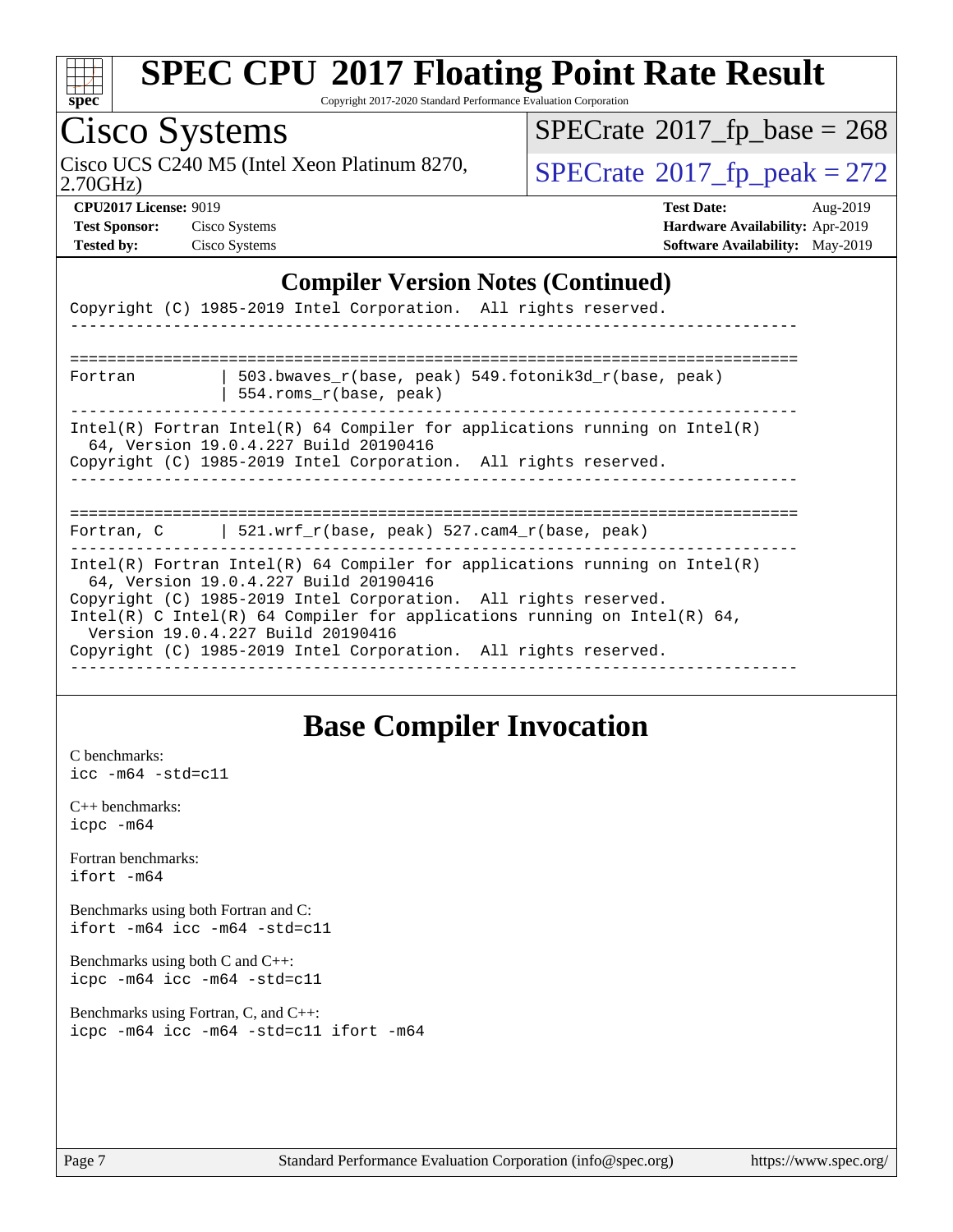

Copyright 2017-2020 Standard Performance Evaluation Corporation

## Cisco Systems

2.70GHz) Cisco UCS C240 M5 (Intel Xeon Platinum 8270,  $SPECrate@2017_fp\_peak = 272$  $SPECrate@2017_fp\_peak = 272$ 

 $SPECTate$ <sup>®</sup>[2017\\_fp\\_base =](http://www.spec.org/auto/cpu2017/Docs/result-fields.html#SPECrate2017fpbase) 268

**[Test Sponsor:](http://www.spec.org/auto/cpu2017/Docs/result-fields.html#TestSponsor)** Cisco Systems **[Hardware Availability:](http://www.spec.org/auto/cpu2017/Docs/result-fields.html#HardwareAvailability)** Apr-2019

**[CPU2017 License:](http://www.spec.org/auto/cpu2017/Docs/result-fields.html#CPU2017License)** 9019 **[Test Date:](http://www.spec.org/auto/cpu2017/Docs/result-fields.html#TestDate)** Aug-2019 **[Tested by:](http://www.spec.org/auto/cpu2017/Docs/result-fields.html#Testedby)** Cisco Systems **[Software Availability:](http://www.spec.org/auto/cpu2017/Docs/result-fields.html#SoftwareAvailability)** May-2019

#### **[Compiler Version Notes \(Continued\)](http://www.spec.org/auto/cpu2017/Docs/result-fields.html#CompilerVersionNotes)**

|                                                                                                                                                                                                                                                                                                                                                                            | Copyright (C) 1985-2019 Intel Corporation. All rights reserved.                                                                                                                                                                 |  |  |  |
|----------------------------------------------------------------------------------------------------------------------------------------------------------------------------------------------------------------------------------------------------------------------------------------------------------------------------------------------------------------------------|---------------------------------------------------------------------------------------------------------------------------------------------------------------------------------------------------------------------------------|--|--|--|
|                                                                                                                                                                                                                                                                                                                                                                            |                                                                                                                                                                                                                                 |  |  |  |
| Fortran                                                                                                                                                                                                                                                                                                                                                                    | 503.bwaves r(base, peak) 549.fotonik3d r(base, peak)<br>554. roms r(base, peak)                                                                                                                                                 |  |  |  |
|                                                                                                                                                                                                                                                                                                                                                                            | $Intel(R)$ Fortran Intel(R) 64 Compiler for applications running on Intel(R)<br>64, Version 19.0.4.227 Build 20190416<br>Copyright (C) 1985-2019 Intel Corporation. All rights reserved.<br>___________________________________ |  |  |  |
|                                                                                                                                                                                                                                                                                                                                                                            | Fortran, C   521.wrf_r(base, peak) 527.cam4_r(base, peak)                                                                                                                                                                       |  |  |  |
| Intel(R) Fortran Intel(R) 64 Compiler for applications running on Intel(R)<br>64, Version 19.0.4.227 Build 20190416<br>Copyright (C) 1985-2019 Intel Corporation. All rights reserved.<br>Intel(R) C Intel(R) 64 Compiler for applications running on Intel(R) 64,<br>Version 19.0.4.227 Build 20190416<br>Copyright (C) 1985-2019 Intel Corporation. All rights reserved. |                                                                                                                                                                                                                                 |  |  |  |

### **[Base Compiler Invocation](http://www.spec.org/auto/cpu2017/Docs/result-fields.html#BaseCompilerInvocation)**

[C benchmarks](http://www.spec.org/auto/cpu2017/Docs/result-fields.html#Cbenchmarks): [icc -m64 -std=c11](http://www.spec.org/cpu2017/results/res2019q3/cpu2017-20190903-17775.flags.html#user_CCbase_intel_icc_64bit_c11_33ee0cdaae7deeeab2a9725423ba97205ce30f63b9926c2519791662299b76a0318f32ddfffdc46587804de3178b4f9328c46fa7c2b0cd779d7a61945c91cd35)

[C++ benchmarks:](http://www.spec.org/auto/cpu2017/Docs/result-fields.html#CXXbenchmarks) [icpc -m64](http://www.spec.org/cpu2017/results/res2019q3/cpu2017-20190903-17775.flags.html#user_CXXbase_intel_icpc_64bit_4ecb2543ae3f1412ef961e0650ca070fec7b7afdcd6ed48761b84423119d1bf6bdf5cad15b44d48e7256388bc77273b966e5eb805aefd121eb22e9299b2ec9d9)

[Fortran benchmarks](http://www.spec.org/auto/cpu2017/Docs/result-fields.html#Fortranbenchmarks): [ifort -m64](http://www.spec.org/cpu2017/results/res2019q3/cpu2017-20190903-17775.flags.html#user_FCbase_intel_ifort_64bit_24f2bb282fbaeffd6157abe4f878425411749daecae9a33200eee2bee2fe76f3b89351d69a8130dd5949958ce389cf37ff59a95e7a40d588e8d3a57e0c3fd751)

[Benchmarks using both Fortran and C](http://www.spec.org/auto/cpu2017/Docs/result-fields.html#BenchmarksusingbothFortranandC): [ifort -m64](http://www.spec.org/cpu2017/results/res2019q3/cpu2017-20190903-17775.flags.html#user_CC_FCbase_intel_ifort_64bit_24f2bb282fbaeffd6157abe4f878425411749daecae9a33200eee2bee2fe76f3b89351d69a8130dd5949958ce389cf37ff59a95e7a40d588e8d3a57e0c3fd751) [icc -m64 -std=c11](http://www.spec.org/cpu2017/results/res2019q3/cpu2017-20190903-17775.flags.html#user_CC_FCbase_intel_icc_64bit_c11_33ee0cdaae7deeeab2a9725423ba97205ce30f63b9926c2519791662299b76a0318f32ddfffdc46587804de3178b4f9328c46fa7c2b0cd779d7a61945c91cd35)

[Benchmarks using both C and C++](http://www.spec.org/auto/cpu2017/Docs/result-fields.html#BenchmarksusingbothCandCXX): [icpc -m64](http://www.spec.org/cpu2017/results/res2019q3/cpu2017-20190903-17775.flags.html#user_CC_CXXbase_intel_icpc_64bit_4ecb2543ae3f1412ef961e0650ca070fec7b7afdcd6ed48761b84423119d1bf6bdf5cad15b44d48e7256388bc77273b966e5eb805aefd121eb22e9299b2ec9d9) [icc -m64 -std=c11](http://www.spec.org/cpu2017/results/res2019q3/cpu2017-20190903-17775.flags.html#user_CC_CXXbase_intel_icc_64bit_c11_33ee0cdaae7deeeab2a9725423ba97205ce30f63b9926c2519791662299b76a0318f32ddfffdc46587804de3178b4f9328c46fa7c2b0cd779d7a61945c91cd35)

[Benchmarks using Fortran, C, and C++:](http://www.spec.org/auto/cpu2017/Docs/result-fields.html#BenchmarksusingFortranCandCXX) [icpc -m64](http://www.spec.org/cpu2017/results/res2019q3/cpu2017-20190903-17775.flags.html#user_CC_CXX_FCbase_intel_icpc_64bit_4ecb2543ae3f1412ef961e0650ca070fec7b7afdcd6ed48761b84423119d1bf6bdf5cad15b44d48e7256388bc77273b966e5eb805aefd121eb22e9299b2ec9d9) [icc -m64 -std=c11](http://www.spec.org/cpu2017/results/res2019q3/cpu2017-20190903-17775.flags.html#user_CC_CXX_FCbase_intel_icc_64bit_c11_33ee0cdaae7deeeab2a9725423ba97205ce30f63b9926c2519791662299b76a0318f32ddfffdc46587804de3178b4f9328c46fa7c2b0cd779d7a61945c91cd35) [ifort -m64](http://www.spec.org/cpu2017/results/res2019q3/cpu2017-20190903-17775.flags.html#user_CC_CXX_FCbase_intel_ifort_64bit_24f2bb282fbaeffd6157abe4f878425411749daecae9a33200eee2bee2fe76f3b89351d69a8130dd5949958ce389cf37ff59a95e7a40d588e8d3a57e0c3fd751)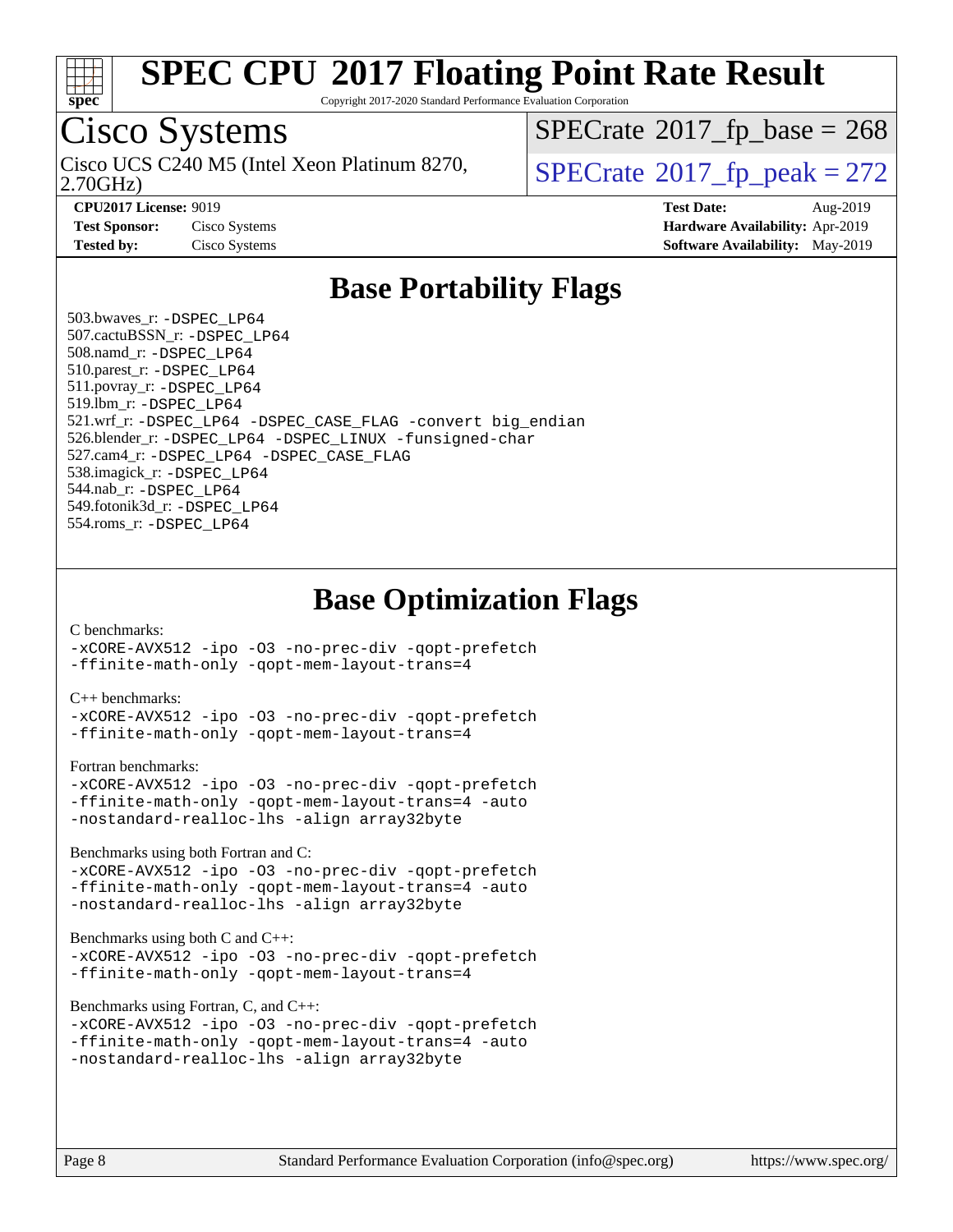

Copyright 2017-2020 Standard Performance Evaluation Corporation

## Cisco Systems

2.70GHz) Cisco UCS C240 M5 (Intel Xeon Platinum 8270,  $\vert$ [SPECrate](http://www.spec.org/auto/cpu2017/Docs/result-fields.html#SPECrate2017fppeak)®[2017\\_fp\\_peak = 2](http://www.spec.org/auto/cpu2017/Docs/result-fields.html#SPECrate2017fppeak)72

 $SPECTate$ <sup>®</sup>[2017\\_fp\\_base =](http://www.spec.org/auto/cpu2017/Docs/result-fields.html#SPECrate2017fpbase) 268

**[CPU2017 License:](http://www.spec.org/auto/cpu2017/Docs/result-fields.html#CPU2017License)** 9019 **[Test Date:](http://www.spec.org/auto/cpu2017/Docs/result-fields.html#TestDate)** Aug-2019 **[Test Sponsor:](http://www.spec.org/auto/cpu2017/Docs/result-fields.html#TestSponsor)** Cisco Systems **[Hardware Availability:](http://www.spec.org/auto/cpu2017/Docs/result-fields.html#HardwareAvailability)** Apr-2019 **[Tested by:](http://www.spec.org/auto/cpu2017/Docs/result-fields.html#Testedby)** Cisco Systems **[Software Availability:](http://www.spec.org/auto/cpu2017/Docs/result-fields.html#SoftwareAvailability)** May-2019

### **[Base Portability Flags](http://www.spec.org/auto/cpu2017/Docs/result-fields.html#BasePortabilityFlags)**

 503.bwaves\_r: [-DSPEC\\_LP64](http://www.spec.org/cpu2017/results/res2019q3/cpu2017-20190903-17775.flags.html#suite_basePORTABILITY503_bwaves_r_DSPEC_LP64) 507.cactuBSSN\_r: [-DSPEC\\_LP64](http://www.spec.org/cpu2017/results/res2019q3/cpu2017-20190903-17775.flags.html#suite_basePORTABILITY507_cactuBSSN_r_DSPEC_LP64) 508.namd\_r: [-DSPEC\\_LP64](http://www.spec.org/cpu2017/results/res2019q3/cpu2017-20190903-17775.flags.html#suite_basePORTABILITY508_namd_r_DSPEC_LP64) 510.parest\_r: [-DSPEC\\_LP64](http://www.spec.org/cpu2017/results/res2019q3/cpu2017-20190903-17775.flags.html#suite_basePORTABILITY510_parest_r_DSPEC_LP64) 511.povray\_r: [-DSPEC\\_LP64](http://www.spec.org/cpu2017/results/res2019q3/cpu2017-20190903-17775.flags.html#suite_basePORTABILITY511_povray_r_DSPEC_LP64) 519.lbm\_r: [-DSPEC\\_LP64](http://www.spec.org/cpu2017/results/res2019q3/cpu2017-20190903-17775.flags.html#suite_basePORTABILITY519_lbm_r_DSPEC_LP64) 521.wrf\_r: [-DSPEC\\_LP64](http://www.spec.org/cpu2017/results/res2019q3/cpu2017-20190903-17775.flags.html#suite_basePORTABILITY521_wrf_r_DSPEC_LP64) [-DSPEC\\_CASE\\_FLAG](http://www.spec.org/cpu2017/results/res2019q3/cpu2017-20190903-17775.flags.html#b521.wrf_r_baseCPORTABILITY_DSPEC_CASE_FLAG) [-convert big\\_endian](http://www.spec.org/cpu2017/results/res2019q3/cpu2017-20190903-17775.flags.html#user_baseFPORTABILITY521_wrf_r_convert_big_endian_c3194028bc08c63ac5d04de18c48ce6d347e4e562e8892b8bdbdc0214820426deb8554edfa529a3fb25a586e65a3d812c835984020483e7e73212c4d31a38223) 526.blender\_r: [-DSPEC\\_LP64](http://www.spec.org/cpu2017/results/res2019q3/cpu2017-20190903-17775.flags.html#suite_basePORTABILITY526_blender_r_DSPEC_LP64) [-DSPEC\\_LINUX](http://www.spec.org/cpu2017/results/res2019q3/cpu2017-20190903-17775.flags.html#b526.blender_r_baseCPORTABILITY_DSPEC_LINUX) [-funsigned-char](http://www.spec.org/cpu2017/results/res2019q3/cpu2017-20190903-17775.flags.html#user_baseCPORTABILITY526_blender_r_force_uchar_40c60f00ab013830e2dd6774aeded3ff59883ba5a1fc5fc14077f794d777847726e2a5858cbc7672e36e1b067e7e5c1d9a74f7176df07886a243d7cc18edfe67) 527.cam4\_r: [-DSPEC\\_LP64](http://www.spec.org/cpu2017/results/res2019q3/cpu2017-20190903-17775.flags.html#suite_basePORTABILITY527_cam4_r_DSPEC_LP64) [-DSPEC\\_CASE\\_FLAG](http://www.spec.org/cpu2017/results/res2019q3/cpu2017-20190903-17775.flags.html#b527.cam4_r_baseCPORTABILITY_DSPEC_CASE_FLAG) 538.imagick\_r: [-DSPEC\\_LP64](http://www.spec.org/cpu2017/results/res2019q3/cpu2017-20190903-17775.flags.html#suite_basePORTABILITY538_imagick_r_DSPEC_LP64) 544.nab\_r: [-DSPEC\\_LP64](http://www.spec.org/cpu2017/results/res2019q3/cpu2017-20190903-17775.flags.html#suite_basePORTABILITY544_nab_r_DSPEC_LP64) 549.fotonik3d\_r: [-DSPEC\\_LP64](http://www.spec.org/cpu2017/results/res2019q3/cpu2017-20190903-17775.flags.html#suite_basePORTABILITY549_fotonik3d_r_DSPEC_LP64) 554.roms\_r: [-DSPEC\\_LP64](http://www.spec.org/cpu2017/results/res2019q3/cpu2017-20190903-17775.flags.html#suite_basePORTABILITY554_roms_r_DSPEC_LP64)

**[Base Optimization Flags](http://www.spec.org/auto/cpu2017/Docs/result-fields.html#BaseOptimizationFlags)**

#### [C benchmarks](http://www.spec.org/auto/cpu2017/Docs/result-fields.html#Cbenchmarks):

[-xCORE-AVX512](http://www.spec.org/cpu2017/results/res2019q3/cpu2017-20190903-17775.flags.html#user_CCbase_f-xCORE-AVX512) [-ipo](http://www.spec.org/cpu2017/results/res2019q3/cpu2017-20190903-17775.flags.html#user_CCbase_f-ipo) [-O3](http://www.spec.org/cpu2017/results/res2019q3/cpu2017-20190903-17775.flags.html#user_CCbase_f-O3) [-no-prec-div](http://www.spec.org/cpu2017/results/res2019q3/cpu2017-20190903-17775.flags.html#user_CCbase_f-no-prec-div) [-qopt-prefetch](http://www.spec.org/cpu2017/results/res2019q3/cpu2017-20190903-17775.flags.html#user_CCbase_f-qopt-prefetch) [-ffinite-math-only](http://www.spec.org/cpu2017/results/res2019q3/cpu2017-20190903-17775.flags.html#user_CCbase_f_finite_math_only_cb91587bd2077682c4b38af759c288ed7c732db004271a9512da14a4f8007909a5f1427ecbf1a0fb78ff2a814402c6114ac565ca162485bbcae155b5e4258871) [-qopt-mem-layout-trans=4](http://www.spec.org/cpu2017/results/res2019q3/cpu2017-20190903-17775.flags.html#user_CCbase_f-qopt-mem-layout-trans_fa39e755916c150a61361b7846f310bcdf6f04e385ef281cadf3647acec3f0ae266d1a1d22d972a7087a248fd4e6ca390a3634700869573d231a252c784941a8)

#### [C++ benchmarks:](http://www.spec.org/auto/cpu2017/Docs/result-fields.html#CXXbenchmarks)

[-xCORE-AVX512](http://www.spec.org/cpu2017/results/res2019q3/cpu2017-20190903-17775.flags.html#user_CXXbase_f-xCORE-AVX512) [-ipo](http://www.spec.org/cpu2017/results/res2019q3/cpu2017-20190903-17775.flags.html#user_CXXbase_f-ipo) [-O3](http://www.spec.org/cpu2017/results/res2019q3/cpu2017-20190903-17775.flags.html#user_CXXbase_f-O3) [-no-prec-div](http://www.spec.org/cpu2017/results/res2019q3/cpu2017-20190903-17775.flags.html#user_CXXbase_f-no-prec-div) [-qopt-prefetch](http://www.spec.org/cpu2017/results/res2019q3/cpu2017-20190903-17775.flags.html#user_CXXbase_f-qopt-prefetch) [-ffinite-math-only](http://www.spec.org/cpu2017/results/res2019q3/cpu2017-20190903-17775.flags.html#user_CXXbase_f_finite_math_only_cb91587bd2077682c4b38af759c288ed7c732db004271a9512da14a4f8007909a5f1427ecbf1a0fb78ff2a814402c6114ac565ca162485bbcae155b5e4258871) [-qopt-mem-layout-trans=4](http://www.spec.org/cpu2017/results/res2019q3/cpu2017-20190903-17775.flags.html#user_CXXbase_f-qopt-mem-layout-trans_fa39e755916c150a61361b7846f310bcdf6f04e385ef281cadf3647acec3f0ae266d1a1d22d972a7087a248fd4e6ca390a3634700869573d231a252c784941a8)

#### [Fortran benchmarks](http://www.spec.org/auto/cpu2017/Docs/result-fields.html#Fortranbenchmarks):

```
-xCORE-AVX512 -ipo -O3 -no-prec-div -qopt-prefetch
-ffinite-math-only -qopt-mem-layout-trans=4 -auto
-nostandard-realloc-lhs -align array32byte
```
[Benchmarks using both Fortran and C](http://www.spec.org/auto/cpu2017/Docs/result-fields.html#BenchmarksusingbothFortranandC):

```
-xCORE-AVX512 -ipo -O3 -no-prec-div -qopt-prefetch
-ffinite-math-only -qopt-mem-layout-trans=4 -auto
-nostandard-realloc-lhs -align array32byte
```
#### [Benchmarks using both C and C++](http://www.spec.org/auto/cpu2017/Docs/result-fields.html#BenchmarksusingbothCandCXX):

```
-xCORE-AVX512 -ipo -O3 -no-prec-div -qopt-prefetch
-ffinite-math-only -qopt-mem-layout-trans=4
```
[Benchmarks using Fortran, C, and C++:](http://www.spec.org/auto/cpu2017/Docs/result-fields.html#BenchmarksusingFortranCandCXX)

```
-xCORE-AVX512 -ipo -O3 -no-prec-div -qopt-prefetch
-ffinite-math-only -qopt-mem-layout-trans=4 -auto
-nostandard-realloc-lhs -align array32byte
```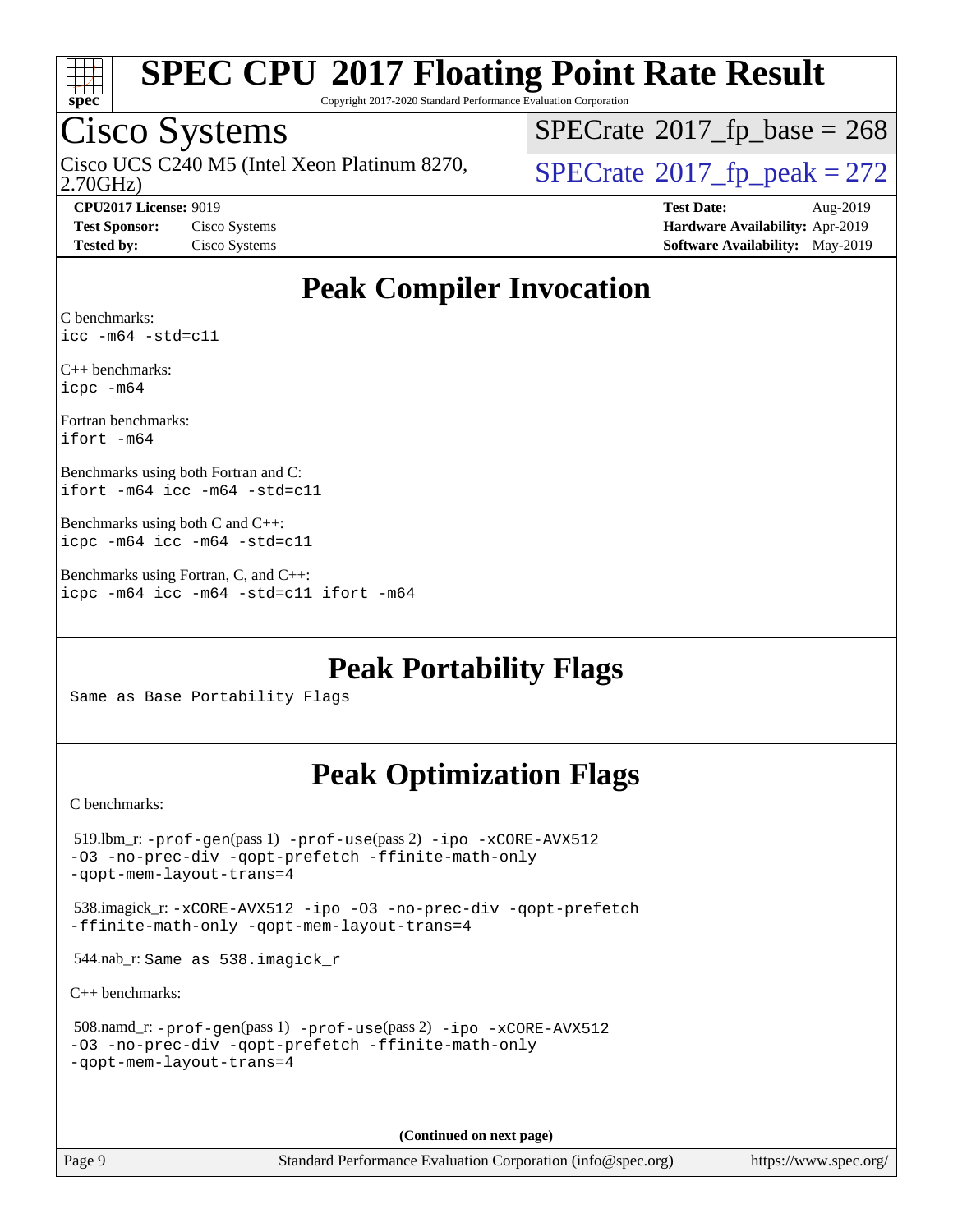

Copyright 2017-2020 Standard Performance Evaluation Corporation

### Cisco Systems

2.70GHz) Cisco UCS C240 M5 (Intel Xeon Platinum 8270,  $\vert$ [SPECrate](http://www.spec.org/auto/cpu2017/Docs/result-fields.html#SPECrate2017fppeak)®[2017\\_fp\\_peak = 2](http://www.spec.org/auto/cpu2017/Docs/result-fields.html#SPECrate2017fppeak)72

 $SPECTate$ <sup>®</sup>[2017\\_fp\\_base =](http://www.spec.org/auto/cpu2017/Docs/result-fields.html#SPECrate2017fpbase) 268

**[CPU2017 License:](http://www.spec.org/auto/cpu2017/Docs/result-fields.html#CPU2017License)** 9019 **[Test Date:](http://www.spec.org/auto/cpu2017/Docs/result-fields.html#TestDate)** Aug-2019 **[Test Sponsor:](http://www.spec.org/auto/cpu2017/Docs/result-fields.html#TestSponsor)** Cisco Systems **[Hardware Availability:](http://www.spec.org/auto/cpu2017/Docs/result-fields.html#HardwareAvailability)** Apr-2019 **[Tested by:](http://www.spec.org/auto/cpu2017/Docs/result-fields.html#Testedby)** Cisco Systems **[Software Availability:](http://www.spec.org/auto/cpu2017/Docs/result-fields.html#SoftwareAvailability)** May-2019

### **[Peak Compiler Invocation](http://www.spec.org/auto/cpu2017/Docs/result-fields.html#PeakCompilerInvocation)**

[C benchmarks](http://www.spec.org/auto/cpu2017/Docs/result-fields.html#Cbenchmarks): [icc -m64 -std=c11](http://www.spec.org/cpu2017/results/res2019q3/cpu2017-20190903-17775.flags.html#user_CCpeak_intel_icc_64bit_c11_33ee0cdaae7deeeab2a9725423ba97205ce30f63b9926c2519791662299b76a0318f32ddfffdc46587804de3178b4f9328c46fa7c2b0cd779d7a61945c91cd35)

[C++ benchmarks:](http://www.spec.org/auto/cpu2017/Docs/result-fields.html#CXXbenchmarks) [icpc -m64](http://www.spec.org/cpu2017/results/res2019q3/cpu2017-20190903-17775.flags.html#user_CXXpeak_intel_icpc_64bit_4ecb2543ae3f1412ef961e0650ca070fec7b7afdcd6ed48761b84423119d1bf6bdf5cad15b44d48e7256388bc77273b966e5eb805aefd121eb22e9299b2ec9d9)

[Fortran benchmarks](http://www.spec.org/auto/cpu2017/Docs/result-fields.html#Fortranbenchmarks): [ifort -m64](http://www.spec.org/cpu2017/results/res2019q3/cpu2017-20190903-17775.flags.html#user_FCpeak_intel_ifort_64bit_24f2bb282fbaeffd6157abe4f878425411749daecae9a33200eee2bee2fe76f3b89351d69a8130dd5949958ce389cf37ff59a95e7a40d588e8d3a57e0c3fd751)

[Benchmarks using both Fortran and C](http://www.spec.org/auto/cpu2017/Docs/result-fields.html#BenchmarksusingbothFortranandC): [ifort -m64](http://www.spec.org/cpu2017/results/res2019q3/cpu2017-20190903-17775.flags.html#user_CC_FCpeak_intel_ifort_64bit_24f2bb282fbaeffd6157abe4f878425411749daecae9a33200eee2bee2fe76f3b89351d69a8130dd5949958ce389cf37ff59a95e7a40d588e8d3a57e0c3fd751) [icc -m64 -std=c11](http://www.spec.org/cpu2017/results/res2019q3/cpu2017-20190903-17775.flags.html#user_CC_FCpeak_intel_icc_64bit_c11_33ee0cdaae7deeeab2a9725423ba97205ce30f63b9926c2519791662299b76a0318f32ddfffdc46587804de3178b4f9328c46fa7c2b0cd779d7a61945c91cd35)

[Benchmarks using both C and C++:](http://www.spec.org/auto/cpu2017/Docs/result-fields.html#BenchmarksusingbothCandCXX) [icpc -m64](http://www.spec.org/cpu2017/results/res2019q3/cpu2017-20190903-17775.flags.html#user_CC_CXXpeak_intel_icpc_64bit_4ecb2543ae3f1412ef961e0650ca070fec7b7afdcd6ed48761b84423119d1bf6bdf5cad15b44d48e7256388bc77273b966e5eb805aefd121eb22e9299b2ec9d9) [icc -m64 -std=c11](http://www.spec.org/cpu2017/results/res2019q3/cpu2017-20190903-17775.flags.html#user_CC_CXXpeak_intel_icc_64bit_c11_33ee0cdaae7deeeab2a9725423ba97205ce30f63b9926c2519791662299b76a0318f32ddfffdc46587804de3178b4f9328c46fa7c2b0cd779d7a61945c91cd35)

[Benchmarks using Fortran, C, and C++:](http://www.spec.org/auto/cpu2017/Docs/result-fields.html#BenchmarksusingFortranCandCXX) [icpc -m64](http://www.spec.org/cpu2017/results/res2019q3/cpu2017-20190903-17775.flags.html#user_CC_CXX_FCpeak_intel_icpc_64bit_4ecb2543ae3f1412ef961e0650ca070fec7b7afdcd6ed48761b84423119d1bf6bdf5cad15b44d48e7256388bc77273b966e5eb805aefd121eb22e9299b2ec9d9) [icc -m64 -std=c11](http://www.spec.org/cpu2017/results/res2019q3/cpu2017-20190903-17775.flags.html#user_CC_CXX_FCpeak_intel_icc_64bit_c11_33ee0cdaae7deeeab2a9725423ba97205ce30f63b9926c2519791662299b76a0318f32ddfffdc46587804de3178b4f9328c46fa7c2b0cd779d7a61945c91cd35) [ifort -m64](http://www.spec.org/cpu2017/results/res2019q3/cpu2017-20190903-17775.flags.html#user_CC_CXX_FCpeak_intel_ifort_64bit_24f2bb282fbaeffd6157abe4f878425411749daecae9a33200eee2bee2fe76f3b89351d69a8130dd5949958ce389cf37ff59a95e7a40d588e8d3a57e0c3fd751)

**[Peak Portability Flags](http://www.spec.org/auto/cpu2017/Docs/result-fields.html#PeakPortabilityFlags)**

Same as Base Portability Flags

### **[Peak Optimization Flags](http://www.spec.org/auto/cpu2017/Docs/result-fields.html#PeakOptimizationFlags)**

[C benchmarks](http://www.spec.org/auto/cpu2017/Docs/result-fields.html#Cbenchmarks):

 519.lbm\_r: [-prof-gen](http://www.spec.org/cpu2017/results/res2019q3/cpu2017-20190903-17775.flags.html#user_peakPASS1_CFLAGSPASS1_LDFLAGS519_lbm_r_prof_gen_5aa4926d6013ddb2a31985c654b3eb18169fc0c6952a63635c234f711e6e63dd76e94ad52365559451ec499a2cdb89e4dc58ba4c67ef54ca681ffbe1461d6b36)(pass 1) [-prof-use](http://www.spec.org/cpu2017/results/res2019q3/cpu2017-20190903-17775.flags.html#user_peakPASS2_CFLAGSPASS2_LDFLAGS519_lbm_r_prof_use_1a21ceae95f36a2b53c25747139a6c16ca95bd9def2a207b4f0849963b97e94f5260e30a0c64f4bb623698870e679ca08317ef8150905d41bd88c6f78df73f19)(pass 2) [-ipo](http://www.spec.org/cpu2017/results/res2019q3/cpu2017-20190903-17775.flags.html#user_peakPASS1_COPTIMIZEPASS2_COPTIMIZE519_lbm_r_f-ipo) [-xCORE-AVX512](http://www.spec.org/cpu2017/results/res2019q3/cpu2017-20190903-17775.flags.html#user_peakPASS2_COPTIMIZE519_lbm_r_f-xCORE-AVX512) [-O3](http://www.spec.org/cpu2017/results/res2019q3/cpu2017-20190903-17775.flags.html#user_peakPASS1_COPTIMIZEPASS2_COPTIMIZE519_lbm_r_f-O3) [-no-prec-div](http://www.spec.org/cpu2017/results/res2019q3/cpu2017-20190903-17775.flags.html#user_peakPASS1_COPTIMIZEPASS2_COPTIMIZE519_lbm_r_f-no-prec-div) [-qopt-prefetch](http://www.spec.org/cpu2017/results/res2019q3/cpu2017-20190903-17775.flags.html#user_peakPASS1_COPTIMIZEPASS2_COPTIMIZE519_lbm_r_f-qopt-prefetch) [-ffinite-math-only](http://www.spec.org/cpu2017/results/res2019q3/cpu2017-20190903-17775.flags.html#user_peakPASS1_COPTIMIZEPASS2_COPTIMIZE519_lbm_r_f_finite_math_only_cb91587bd2077682c4b38af759c288ed7c732db004271a9512da14a4f8007909a5f1427ecbf1a0fb78ff2a814402c6114ac565ca162485bbcae155b5e4258871) [-qopt-mem-layout-trans=4](http://www.spec.org/cpu2017/results/res2019q3/cpu2017-20190903-17775.flags.html#user_peakPASS1_COPTIMIZEPASS2_COPTIMIZE519_lbm_r_f-qopt-mem-layout-trans_fa39e755916c150a61361b7846f310bcdf6f04e385ef281cadf3647acec3f0ae266d1a1d22d972a7087a248fd4e6ca390a3634700869573d231a252c784941a8) 538.imagick\_r: [-xCORE-AVX512](http://www.spec.org/cpu2017/results/res2019q3/cpu2017-20190903-17775.flags.html#user_peakCOPTIMIZE538_imagick_r_f-xCORE-AVX512) [-ipo](http://www.spec.org/cpu2017/results/res2019q3/cpu2017-20190903-17775.flags.html#user_peakCOPTIMIZE538_imagick_r_f-ipo) [-O3](http://www.spec.org/cpu2017/results/res2019q3/cpu2017-20190903-17775.flags.html#user_peakCOPTIMIZE538_imagick_r_f-O3) [-no-prec-div](http://www.spec.org/cpu2017/results/res2019q3/cpu2017-20190903-17775.flags.html#user_peakCOPTIMIZE538_imagick_r_f-no-prec-div) [-qopt-prefetch](http://www.spec.org/cpu2017/results/res2019q3/cpu2017-20190903-17775.flags.html#user_peakCOPTIMIZE538_imagick_r_f-qopt-prefetch) [-ffinite-math-only](http://www.spec.org/cpu2017/results/res2019q3/cpu2017-20190903-17775.flags.html#user_peakCOPTIMIZE538_imagick_r_f_finite_math_only_cb91587bd2077682c4b38af759c288ed7c732db004271a9512da14a4f8007909a5f1427ecbf1a0fb78ff2a814402c6114ac565ca162485bbcae155b5e4258871) [-qopt-mem-layout-trans=4](http://www.spec.org/cpu2017/results/res2019q3/cpu2017-20190903-17775.flags.html#user_peakCOPTIMIZE538_imagick_r_f-qopt-mem-layout-trans_fa39e755916c150a61361b7846f310bcdf6f04e385ef281cadf3647acec3f0ae266d1a1d22d972a7087a248fd4e6ca390a3634700869573d231a252c784941a8) 544.nab\_r: Same as 538.imagick\_r [C++ benchmarks:](http://www.spec.org/auto/cpu2017/Docs/result-fields.html#CXXbenchmarks) 508.namd\_r: [-prof-gen](http://www.spec.org/cpu2017/results/res2019q3/cpu2017-20190903-17775.flags.html#user_peakPASS1_CXXFLAGSPASS1_LDFLAGS508_namd_r_prof_gen_5aa4926d6013ddb2a31985c654b3eb18169fc0c6952a63635c234f711e6e63dd76e94ad52365559451ec499a2cdb89e4dc58ba4c67ef54ca681ffbe1461d6b36)(pass 1) [-prof-use](http://www.spec.org/cpu2017/results/res2019q3/cpu2017-20190903-17775.flags.html#user_peakPASS2_CXXFLAGSPASS2_LDFLAGS508_namd_r_prof_use_1a21ceae95f36a2b53c25747139a6c16ca95bd9def2a207b4f0849963b97e94f5260e30a0c64f4bb623698870e679ca08317ef8150905d41bd88c6f78df73f19)(pass 2) [-ipo](http://www.spec.org/cpu2017/results/res2019q3/cpu2017-20190903-17775.flags.html#user_peakPASS1_CXXOPTIMIZEPASS2_CXXOPTIMIZE508_namd_r_f-ipo) [-xCORE-AVX512](http://www.spec.org/cpu2017/results/res2019q3/cpu2017-20190903-17775.flags.html#user_peakPASS2_CXXOPTIMIZE508_namd_r_f-xCORE-AVX512) [-O3](http://www.spec.org/cpu2017/results/res2019q3/cpu2017-20190903-17775.flags.html#user_peakPASS1_CXXOPTIMIZEPASS2_CXXOPTIMIZE508_namd_r_f-O3) [-no-prec-div](http://www.spec.org/cpu2017/results/res2019q3/cpu2017-20190903-17775.flags.html#user_peakPASS1_CXXOPTIMIZEPASS2_CXXOPTIMIZE508_namd_r_f-no-prec-div) [-qopt-prefetch](http://www.spec.org/cpu2017/results/res2019q3/cpu2017-20190903-17775.flags.html#user_peakPASS1_CXXOPTIMIZEPASS2_CXXOPTIMIZE508_namd_r_f-qopt-prefetch) [-ffinite-math-only](http://www.spec.org/cpu2017/results/res2019q3/cpu2017-20190903-17775.flags.html#user_peakPASS1_CXXOPTIMIZEPASS2_CXXOPTIMIZE508_namd_r_f_finite_math_only_cb91587bd2077682c4b38af759c288ed7c732db004271a9512da14a4f8007909a5f1427ecbf1a0fb78ff2a814402c6114ac565ca162485bbcae155b5e4258871) [-qopt-mem-layout-trans=4](http://www.spec.org/cpu2017/results/res2019q3/cpu2017-20190903-17775.flags.html#user_peakPASS1_CXXOPTIMIZEPASS2_CXXOPTIMIZE508_namd_r_f-qopt-mem-layout-trans_fa39e755916c150a61361b7846f310bcdf6f04e385ef281cadf3647acec3f0ae266d1a1d22d972a7087a248fd4e6ca390a3634700869573d231a252c784941a8)

**(Continued on next page)**

Page 9 Standard Performance Evaluation Corporation [\(info@spec.org\)](mailto:info@spec.org) <https://www.spec.org/>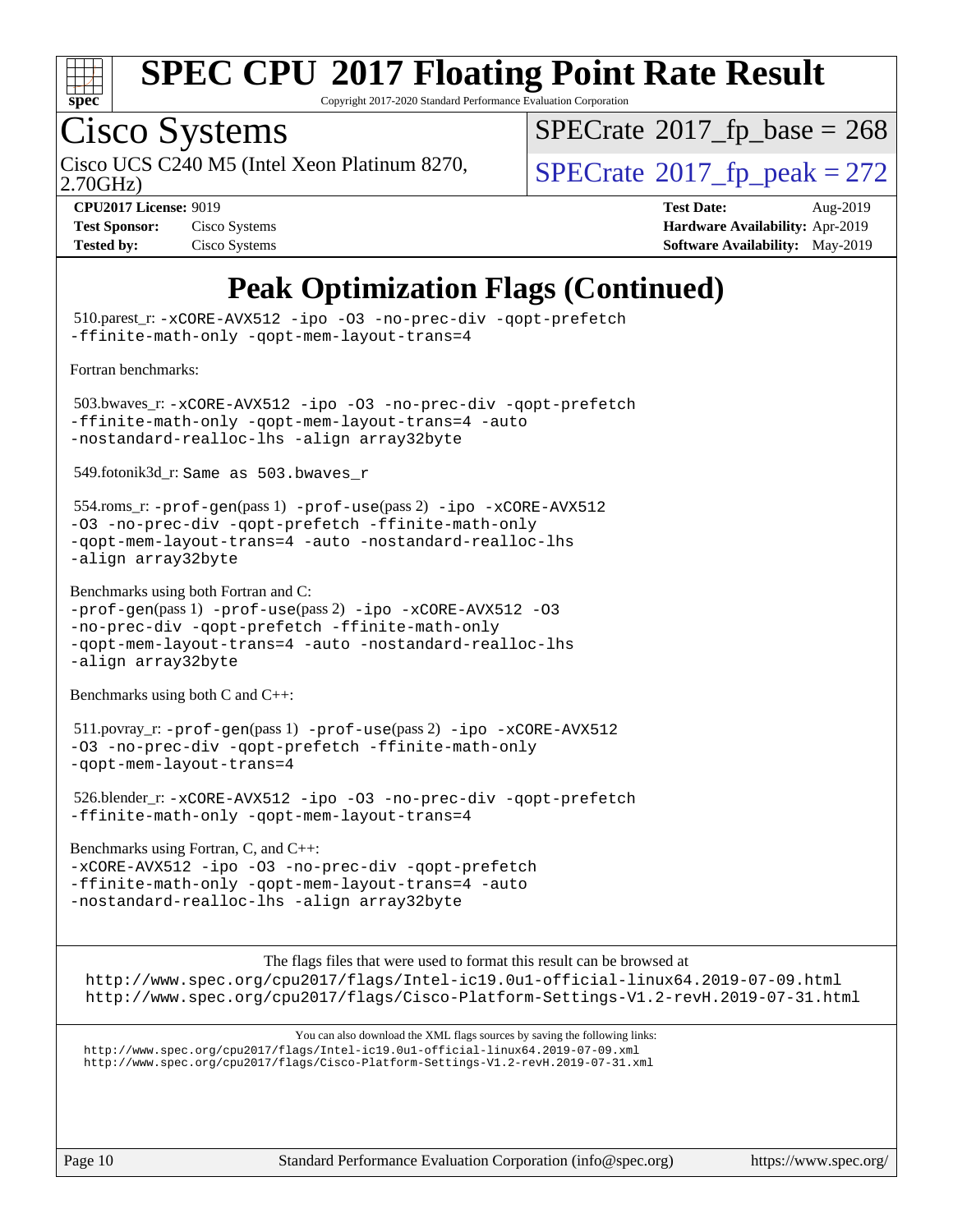

Copyright 2017-2020 Standard Performance Evaluation Corporation

## Cisco Systems

2.70GHz) Cisco UCS C240 M5 (Intel Xeon Platinum 8270,  $\vert$ [SPECrate](http://www.spec.org/auto/cpu2017/Docs/result-fields.html#SPECrate2017fppeak)®[2017\\_fp\\_peak = 2](http://www.spec.org/auto/cpu2017/Docs/result-fields.html#SPECrate2017fppeak)72

 $SPECTate$ <sup>®</sup>[2017\\_fp\\_base =](http://www.spec.org/auto/cpu2017/Docs/result-fields.html#SPECrate2017fpbase) 268

| <b>Test Sponsor:</b> | Cisco Systems |
|----------------------|---------------|
| <b>Tested by:</b>    | Cisco Systems |

**[CPU2017 License:](http://www.spec.org/auto/cpu2017/Docs/result-fields.html#CPU2017License)** 9019 **[Test Date:](http://www.spec.org/auto/cpu2017/Docs/result-fields.html#TestDate)** Aug-2019 **[Hardware Availability:](http://www.spec.org/auto/cpu2017/Docs/result-fields.html#HardwareAvailability)** Apr-2019 **[Software Availability:](http://www.spec.org/auto/cpu2017/Docs/result-fields.html#SoftwareAvailability)** May-2019

### **[Peak Optimization Flags \(Continued\)](http://www.spec.org/auto/cpu2017/Docs/result-fields.html#PeakOptimizationFlags)**

 510.parest\_r: [-xCORE-AVX512](http://www.spec.org/cpu2017/results/res2019q3/cpu2017-20190903-17775.flags.html#user_peakCXXOPTIMIZE510_parest_r_f-xCORE-AVX512) [-ipo](http://www.spec.org/cpu2017/results/res2019q3/cpu2017-20190903-17775.flags.html#user_peakCXXOPTIMIZE510_parest_r_f-ipo) [-O3](http://www.spec.org/cpu2017/results/res2019q3/cpu2017-20190903-17775.flags.html#user_peakCXXOPTIMIZE510_parest_r_f-O3) [-no-prec-div](http://www.spec.org/cpu2017/results/res2019q3/cpu2017-20190903-17775.flags.html#user_peakCXXOPTIMIZE510_parest_r_f-no-prec-div) [-qopt-prefetch](http://www.spec.org/cpu2017/results/res2019q3/cpu2017-20190903-17775.flags.html#user_peakCXXOPTIMIZE510_parest_r_f-qopt-prefetch) [-ffinite-math-only](http://www.spec.org/cpu2017/results/res2019q3/cpu2017-20190903-17775.flags.html#user_peakCXXOPTIMIZE510_parest_r_f_finite_math_only_cb91587bd2077682c4b38af759c288ed7c732db004271a9512da14a4f8007909a5f1427ecbf1a0fb78ff2a814402c6114ac565ca162485bbcae155b5e4258871) [-qopt-mem-layout-trans=4](http://www.spec.org/cpu2017/results/res2019q3/cpu2017-20190903-17775.flags.html#user_peakCXXOPTIMIZE510_parest_r_f-qopt-mem-layout-trans_fa39e755916c150a61361b7846f310bcdf6f04e385ef281cadf3647acec3f0ae266d1a1d22d972a7087a248fd4e6ca390a3634700869573d231a252c784941a8) [Fortran benchmarks](http://www.spec.org/auto/cpu2017/Docs/result-fields.html#Fortranbenchmarks): 503.bwaves\_r: [-xCORE-AVX512](http://www.spec.org/cpu2017/results/res2019q3/cpu2017-20190903-17775.flags.html#user_peakFOPTIMIZE503_bwaves_r_f-xCORE-AVX512) [-ipo](http://www.spec.org/cpu2017/results/res2019q3/cpu2017-20190903-17775.flags.html#user_peakFOPTIMIZE503_bwaves_r_f-ipo) [-O3](http://www.spec.org/cpu2017/results/res2019q3/cpu2017-20190903-17775.flags.html#user_peakFOPTIMIZE503_bwaves_r_f-O3) [-no-prec-div](http://www.spec.org/cpu2017/results/res2019q3/cpu2017-20190903-17775.flags.html#user_peakFOPTIMIZE503_bwaves_r_f-no-prec-div) [-qopt-prefetch](http://www.spec.org/cpu2017/results/res2019q3/cpu2017-20190903-17775.flags.html#user_peakFOPTIMIZE503_bwaves_r_f-qopt-prefetch) [-ffinite-math-only](http://www.spec.org/cpu2017/results/res2019q3/cpu2017-20190903-17775.flags.html#user_peakFOPTIMIZE503_bwaves_r_f_finite_math_only_cb91587bd2077682c4b38af759c288ed7c732db004271a9512da14a4f8007909a5f1427ecbf1a0fb78ff2a814402c6114ac565ca162485bbcae155b5e4258871) [-qopt-mem-layout-trans=4](http://www.spec.org/cpu2017/results/res2019q3/cpu2017-20190903-17775.flags.html#user_peakFOPTIMIZE503_bwaves_r_f-qopt-mem-layout-trans_fa39e755916c150a61361b7846f310bcdf6f04e385ef281cadf3647acec3f0ae266d1a1d22d972a7087a248fd4e6ca390a3634700869573d231a252c784941a8) [-auto](http://www.spec.org/cpu2017/results/res2019q3/cpu2017-20190903-17775.flags.html#user_peakFOPTIMIZE503_bwaves_r_f-auto) [-nostandard-realloc-lhs](http://www.spec.org/cpu2017/results/res2019q3/cpu2017-20190903-17775.flags.html#user_peakEXTRA_FOPTIMIZE503_bwaves_r_f_2003_std_realloc_82b4557e90729c0f113870c07e44d33d6f5a304b4f63d4c15d2d0f1fab99f5daaed73bdb9275d9ae411527f28b936061aa8b9c8f2d63842963b95c9dd6426b8a) [-align array32byte](http://www.spec.org/cpu2017/results/res2019q3/cpu2017-20190903-17775.flags.html#user_peakEXTRA_FOPTIMIZE503_bwaves_r_align_array32byte_b982fe038af199962ba9a80c053b8342c548c85b40b8e86eb3cc33dee0d7986a4af373ac2d51c3f7cf710a18d62fdce2948f201cd044323541f22fc0fffc51b6) 549.fotonik3d\_r: Same as 503.bwaves\_r 554.roms\_r: [-prof-gen](http://www.spec.org/cpu2017/results/res2019q3/cpu2017-20190903-17775.flags.html#user_peakPASS1_FFLAGSPASS1_LDFLAGS554_roms_r_prof_gen_5aa4926d6013ddb2a31985c654b3eb18169fc0c6952a63635c234f711e6e63dd76e94ad52365559451ec499a2cdb89e4dc58ba4c67ef54ca681ffbe1461d6b36)(pass 1) [-prof-use](http://www.spec.org/cpu2017/results/res2019q3/cpu2017-20190903-17775.flags.html#user_peakPASS2_FFLAGSPASS2_LDFLAGS554_roms_r_prof_use_1a21ceae95f36a2b53c25747139a6c16ca95bd9def2a207b4f0849963b97e94f5260e30a0c64f4bb623698870e679ca08317ef8150905d41bd88c6f78df73f19)(pass 2) [-ipo](http://www.spec.org/cpu2017/results/res2019q3/cpu2017-20190903-17775.flags.html#user_peakPASS1_FOPTIMIZEPASS2_FOPTIMIZE554_roms_r_f-ipo) [-xCORE-AVX512](http://www.spec.org/cpu2017/results/res2019q3/cpu2017-20190903-17775.flags.html#user_peakPASS2_FOPTIMIZE554_roms_r_f-xCORE-AVX512) [-O3](http://www.spec.org/cpu2017/results/res2019q3/cpu2017-20190903-17775.flags.html#user_peakPASS1_FOPTIMIZEPASS2_FOPTIMIZE554_roms_r_f-O3) [-no-prec-div](http://www.spec.org/cpu2017/results/res2019q3/cpu2017-20190903-17775.flags.html#user_peakPASS1_FOPTIMIZEPASS2_FOPTIMIZE554_roms_r_f-no-prec-div) [-qopt-prefetch](http://www.spec.org/cpu2017/results/res2019q3/cpu2017-20190903-17775.flags.html#user_peakPASS1_FOPTIMIZEPASS2_FOPTIMIZE554_roms_r_f-qopt-prefetch) [-ffinite-math-only](http://www.spec.org/cpu2017/results/res2019q3/cpu2017-20190903-17775.flags.html#user_peakPASS1_FOPTIMIZEPASS2_FOPTIMIZE554_roms_r_f_finite_math_only_cb91587bd2077682c4b38af759c288ed7c732db004271a9512da14a4f8007909a5f1427ecbf1a0fb78ff2a814402c6114ac565ca162485bbcae155b5e4258871) [-qopt-mem-layout-trans=4](http://www.spec.org/cpu2017/results/res2019q3/cpu2017-20190903-17775.flags.html#user_peakPASS1_FOPTIMIZEPASS2_FOPTIMIZE554_roms_r_f-qopt-mem-layout-trans_fa39e755916c150a61361b7846f310bcdf6f04e385ef281cadf3647acec3f0ae266d1a1d22d972a7087a248fd4e6ca390a3634700869573d231a252c784941a8) [-auto](http://www.spec.org/cpu2017/results/res2019q3/cpu2017-20190903-17775.flags.html#user_peakPASS2_FOPTIMIZE554_roms_r_f-auto) [-nostandard-realloc-lhs](http://www.spec.org/cpu2017/results/res2019q3/cpu2017-20190903-17775.flags.html#user_peakEXTRA_FOPTIMIZE554_roms_r_f_2003_std_realloc_82b4557e90729c0f113870c07e44d33d6f5a304b4f63d4c15d2d0f1fab99f5daaed73bdb9275d9ae411527f28b936061aa8b9c8f2d63842963b95c9dd6426b8a) [-align array32byte](http://www.spec.org/cpu2017/results/res2019q3/cpu2017-20190903-17775.flags.html#user_peakEXTRA_FOPTIMIZE554_roms_r_align_array32byte_b982fe038af199962ba9a80c053b8342c548c85b40b8e86eb3cc33dee0d7986a4af373ac2d51c3f7cf710a18d62fdce2948f201cd044323541f22fc0fffc51b6) [Benchmarks using both Fortran and C](http://www.spec.org/auto/cpu2017/Docs/result-fields.html#BenchmarksusingbothFortranandC):  $-prof-qen(pass 1) -prof-use(pass 2) -ipo -xCORE-AVX512 -O3$  $-prof-qen(pass 1) -prof-use(pass 2) -ipo -xCORE-AVX512 -O3$  $-prof-qen(pass 1) -prof-use(pass 2) -ipo -xCORE-AVX512 -O3$  $-prof-qen(pass 1) -prof-use(pass 2) -ipo -xCORE-AVX512 -O3$  $-prof-qen(pass 1) -prof-use(pass 2) -ipo -xCORE-AVX512 -O3$  $-prof-qen(pass 1) -prof-use(pass 2) -ipo -xCORE-AVX512 -O3$  $-prof-qen(pass 1) -prof-use(pass 2) -ipo -xCORE-AVX512 -O3$  $-prof-qen(pass 1) -prof-use(pass 2) -ipo -xCORE-AVX512 -O3$ [-no-prec-div](http://www.spec.org/cpu2017/results/res2019q3/cpu2017-20190903-17775.flags.html#user_CC_FCpeak_f-no-prec-div) [-qopt-prefetch](http://www.spec.org/cpu2017/results/res2019q3/cpu2017-20190903-17775.flags.html#user_CC_FCpeak_f-qopt-prefetch) [-ffinite-math-only](http://www.spec.org/cpu2017/results/res2019q3/cpu2017-20190903-17775.flags.html#user_CC_FCpeak_f_finite_math_only_cb91587bd2077682c4b38af759c288ed7c732db004271a9512da14a4f8007909a5f1427ecbf1a0fb78ff2a814402c6114ac565ca162485bbcae155b5e4258871) [-qopt-mem-layout-trans=4](http://www.spec.org/cpu2017/results/res2019q3/cpu2017-20190903-17775.flags.html#user_CC_FCpeak_f-qopt-mem-layout-trans_fa39e755916c150a61361b7846f310bcdf6f04e385ef281cadf3647acec3f0ae266d1a1d22d972a7087a248fd4e6ca390a3634700869573d231a252c784941a8) [-auto](http://www.spec.org/cpu2017/results/res2019q3/cpu2017-20190903-17775.flags.html#user_CC_FCpeak_f-auto) [-nostandard-realloc-lhs](http://www.spec.org/cpu2017/results/res2019q3/cpu2017-20190903-17775.flags.html#user_CC_FCpeak_f_2003_std_realloc_82b4557e90729c0f113870c07e44d33d6f5a304b4f63d4c15d2d0f1fab99f5daaed73bdb9275d9ae411527f28b936061aa8b9c8f2d63842963b95c9dd6426b8a) [-align array32byte](http://www.spec.org/cpu2017/results/res2019q3/cpu2017-20190903-17775.flags.html#user_CC_FCpeak_align_array32byte_b982fe038af199962ba9a80c053b8342c548c85b40b8e86eb3cc33dee0d7986a4af373ac2d51c3f7cf710a18d62fdce2948f201cd044323541f22fc0fffc51b6) [Benchmarks using both C and C++](http://www.spec.org/auto/cpu2017/Docs/result-fields.html#BenchmarksusingbothCandCXX): 511.povray\_r: [-prof-gen](http://www.spec.org/cpu2017/results/res2019q3/cpu2017-20190903-17775.flags.html#user_peakPASS1_CFLAGSPASS1_CXXFLAGSPASS1_LDFLAGS511_povray_r_prof_gen_5aa4926d6013ddb2a31985c654b3eb18169fc0c6952a63635c234f711e6e63dd76e94ad52365559451ec499a2cdb89e4dc58ba4c67ef54ca681ffbe1461d6b36)(pass 1) [-prof-use](http://www.spec.org/cpu2017/results/res2019q3/cpu2017-20190903-17775.flags.html#user_peakPASS2_CFLAGSPASS2_CXXFLAGSPASS2_LDFLAGS511_povray_r_prof_use_1a21ceae95f36a2b53c25747139a6c16ca95bd9def2a207b4f0849963b97e94f5260e30a0c64f4bb623698870e679ca08317ef8150905d41bd88c6f78df73f19)(pass 2) [-ipo](http://www.spec.org/cpu2017/results/res2019q3/cpu2017-20190903-17775.flags.html#user_peakPASS1_COPTIMIZEPASS1_CXXOPTIMIZEPASS2_COPTIMIZEPASS2_CXXOPTIMIZE511_povray_r_f-ipo) [-xCORE-AVX512](http://www.spec.org/cpu2017/results/res2019q3/cpu2017-20190903-17775.flags.html#user_peakPASS2_COPTIMIZEPASS2_CXXOPTIMIZE511_povray_r_f-xCORE-AVX512) [-O3](http://www.spec.org/cpu2017/results/res2019q3/cpu2017-20190903-17775.flags.html#user_peakPASS1_COPTIMIZEPASS1_CXXOPTIMIZEPASS2_COPTIMIZEPASS2_CXXOPTIMIZE511_povray_r_f-O3) [-no-prec-div](http://www.spec.org/cpu2017/results/res2019q3/cpu2017-20190903-17775.flags.html#user_peakPASS1_COPTIMIZEPASS1_CXXOPTIMIZEPASS2_COPTIMIZEPASS2_CXXOPTIMIZE511_povray_r_f-no-prec-div) [-qopt-prefetch](http://www.spec.org/cpu2017/results/res2019q3/cpu2017-20190903-17775.flags.html#user_peakPASS1_COPTIMIZEPASS1_CXXOPTIMIZEPASS2_COPTIMIZEPASS2_CXXOPTIMIZE511_povray_r_f-qopt-prefetch) [-ffinite-math-only](http://www.spec.org/cpu2017/results/res2019q3/cpu2017-20190903-17775.flags.html#user_peakPASS1_COPTIMIZEPASS1_CXXOPTIMIZEPASS2_COPTIMIZEPASS2_CXXOPTIMIZE511_povray_r_f_finite_math_only_cb91587bd2077682c4b38af759c288ed7c732db004271a9512da14a4f8007909a5f1427ecbf1a0fb78ff2a814402c6114ac565ca162485bbcae155b5e4258871) [-qopt-mem-layout-trans=4](http://www.spec.org/cpu2017/results/res2019q3/cpu2017-20190903-17775.flags.html#user_peakPASS1_COPTIMIZEPASS1_CXXOPTIMIZEPASS2_COPTIMIZEPASS2_CXXOPTIMIZE511_povray_r_f-qopt-mem-layout-trans_fa39e755916c150a61361b7846f310bcdf6f04e385ef281cadf3647acec3f0ae266d1a1d22d972a7087a248fd4e6ca390a3634700869573d231a252c784941a8) 526.blender\_r: [-xCORE-AVX512](http://www.spec.org/cpu2017/results/res2019q3/cpu2017-20190903-17775.flags.html#user_peakCOPTIMIZECXXOPTIMIZE526_blender_r_f-xCORE-AVX512) [-ipo](http://www.spec.org/cpu2017/results/res2019q3/cpu2017-20190903-17775.flags.html#user_peakCOPTIMIZECXXOPTIMIZE526_blender_r_f-ipo) [-O3](http://www.spec.org/cpu2017/results/res2019q3/cpu2017-20190903-17775.flags.html#user_peakCOPTIMIZECXXOPTIMIZE526_blender_r_f-O3) [-no-prec-div](http://www.spec.org/cpu2017/results/res2019q3/cpu2017-20190903-17775.flags.html#user_peakCOPTIMIZECXXOPTIMIZE526_blender_r_f-no-prec-div) [-qopt-prefetch](http://www.spec.org/cpu2017/results/res2019q3/cpu2017-20190903-17775.flags.html#user_peakCOPTIMIZECXXOPTIMIZE526_blender_r_f-qopt-prefetch) [-ffinite-math-only](http://www.spec.org/cpu2017/results/res2019q3/cpu2017-20190903-17775.flags.html#user_peakCOPTIMIZECXXOPTIMIZE526_blender_r_f_finite_math_only_cb91587bd2077682c4b38af759c288ed7c732db004271a9512da14a4f8007909a5f1427ecbf1a0fb78ff2a814402c6114ac565ca162485bbcae155b5e4258871) [-qopt-mem-layout-trans=4](http://www.spec.org/cpu2017/results/res2019q3/cpu2017-20190903-17775.flags.html#user_peakCOPTIMIZECXXOPTIMIZE526_blender_r_f-qopt-mem-layout-trans_fa39e755916c150a61361b7846f310bcdf6f04e385ef281cadf3647acec3f0ae266d1a1d22d972a7087a248fd4e6ca390a3634700869573d231a252c784941a8) [Benchmarks using Fortran, C, and C++:](http://www.spec.org/auto/cpu2017/Docs/result-fields.html#BenchmarksusingFortranCandCXX) [-xCORE-AVX512](http://www.spec.org/cpu2017/results/res2019q3/cpu2017-20190903-17775.flags.html#user_CC_CXX_FCpeak_f-xCORE-AVX512) [-ipo](http://www.spec.org/cpu2017/results/res2019q3/cpu2017-20190903-17775.flags.html#user_CC_CXX_FCpeak_f-ipo) [-O3](http://www.spec.org/cpu2017/results/res2019q3/cpu2017-20190903-17775.flags.html#user_CC_CXX_FCpeak_f-O3) [-no-prec-div](http://www.spec.org/cpu2017/results/res2019q3/cpu2017-20190903-17775.flags.html#user_CC_CXX_FCpeak_f-no-prec-div) [-qopt-prefetch](http://www.spec.org/cpu2017/results/res2019q3/cpu2017-20190903-17775.flags.html#user_CC_CXX_FCpeak_f-qopt-prefetch) [-ffinite-math-only](http://www.spec.org/cpu2017/results/res2019q3/cpu2017-20190903-17775.flags.html#user_CC_CXX_FCpeak_f_finite_math_only_cb91587bd2077682c4b38af759c288ed7c732db004271a9512da14a4f8007909a5f1427ecbf1a0fb78ff2a814402c6114ac565ca162485bbcae155b5e4258871) [-qopt-mem-layout-trans=4](http://www.spec.org/cpu2017/results/res2019q3/cpu2017-20190903-17775.flags.html#user_CC_CXX_FCpeak_f-qopt-mem-layout-trans_fa39e755916c150a61361b7846f310bcdf6f04e385ef281cadf3647acec3f0ae266d1a1d22d972a7087a248fd4e6ca390a3634700869573d231a252c784941a8) [-auto](http://www.spec.org/cpu2017/results/res2019q3/cpu2017-20190903-17775.flags.html#user_CC_CXX_FCpeak_f-auto) [-nostandard-realloc-lhs](http://www.spec.org/cpu2017/results/res2019q3/cpu2017-20190903-17775.flags.html#user_CC_CXX_FCpeak_f_2003_std_realloc_82b4557e90729c0f113870c07e44d33d6f5a304b4f63d4c15d2d0f1fab99f5daaed73bdb9275d9ae411527f28b936061aa8b9c8f2d63842963b95c9dd6426b8a) [-align array32byte](http://www.spec.org/cpu2017/results/res2019q3/cpu2017-20190903-17775.flags.html#user_CC_CXX_FCpeak_align_array32byte_b982fe038af199962ba9a80c053b8342c548c85b40b8e86eb3cc33dee0d7986a4af373ac2d51c3f7cf710a18d62fdce2948f201cd044323541f22fc0fffc51b6) [The flags files that were used to format this result can be browsed at](tmsearch) <http://www.spec.org/cpu2017/flags/Intel-ic19.0u1-official-linux64.2019-07-09.html> <http://www.spec.org/cpu2017/flags/Cisco-Platform-Settings-V1.2-revH.2019-07-31.html> [You can also download the XML flags sources by saving the following links:](tmsearch) <http://www.spec.org/cpu2017/flags/Intel-ic19.0u1-official-linux64.2019-07-09.xml> <http://www.spec.org/cpu2017/flags/Cisco-Platform-Settings-V1.2-revH.2019-07-31.xml>